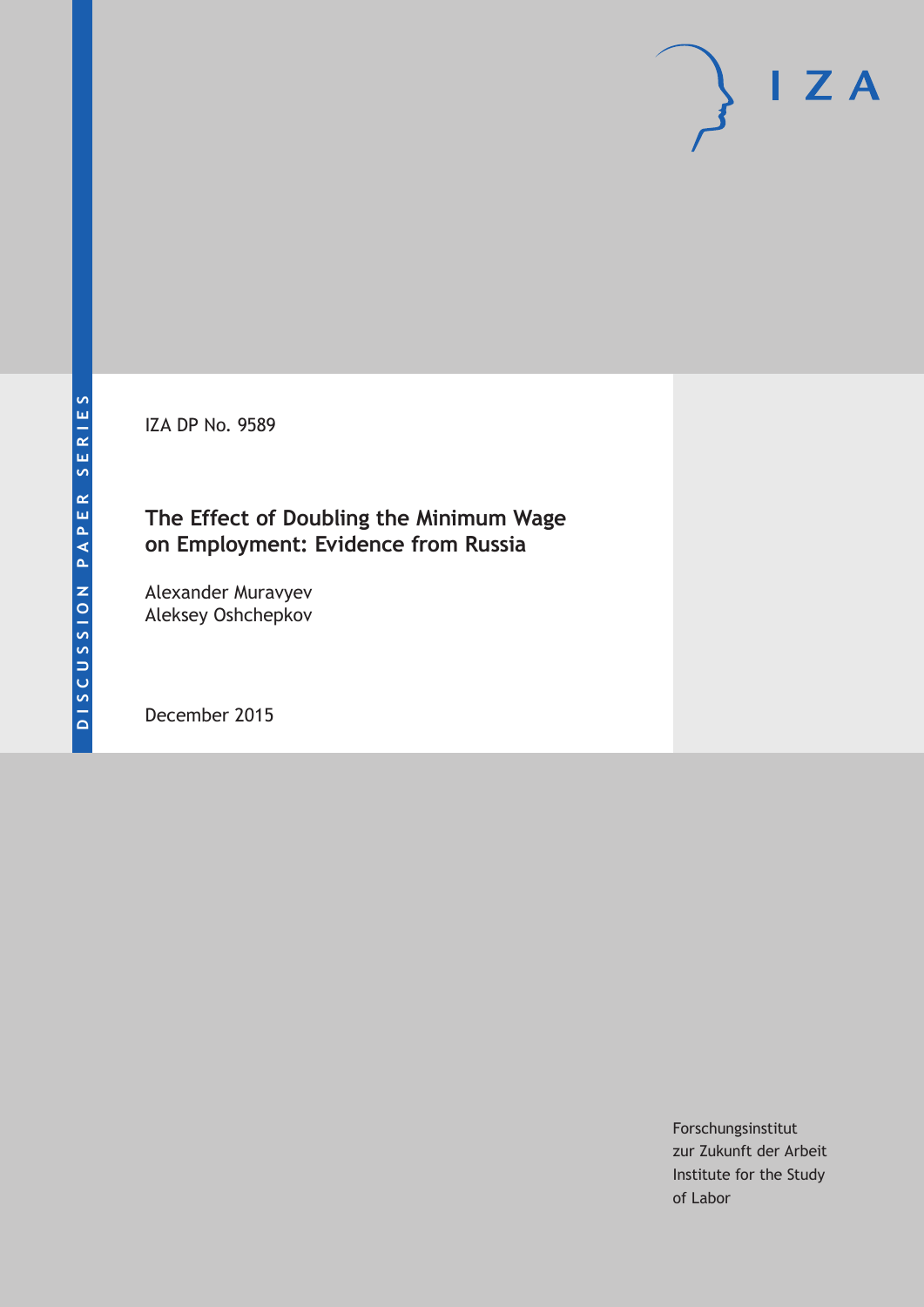IZA DP No. 9589

## **The Effect of Doubling the Minimum Wage on Employment: Evidence from Russia**

Alexander Muravyev Aleksey Oshchepkov

December 2015

Forschungsinstitut zur Zukunft der Arbeit Institute for the Study of Labor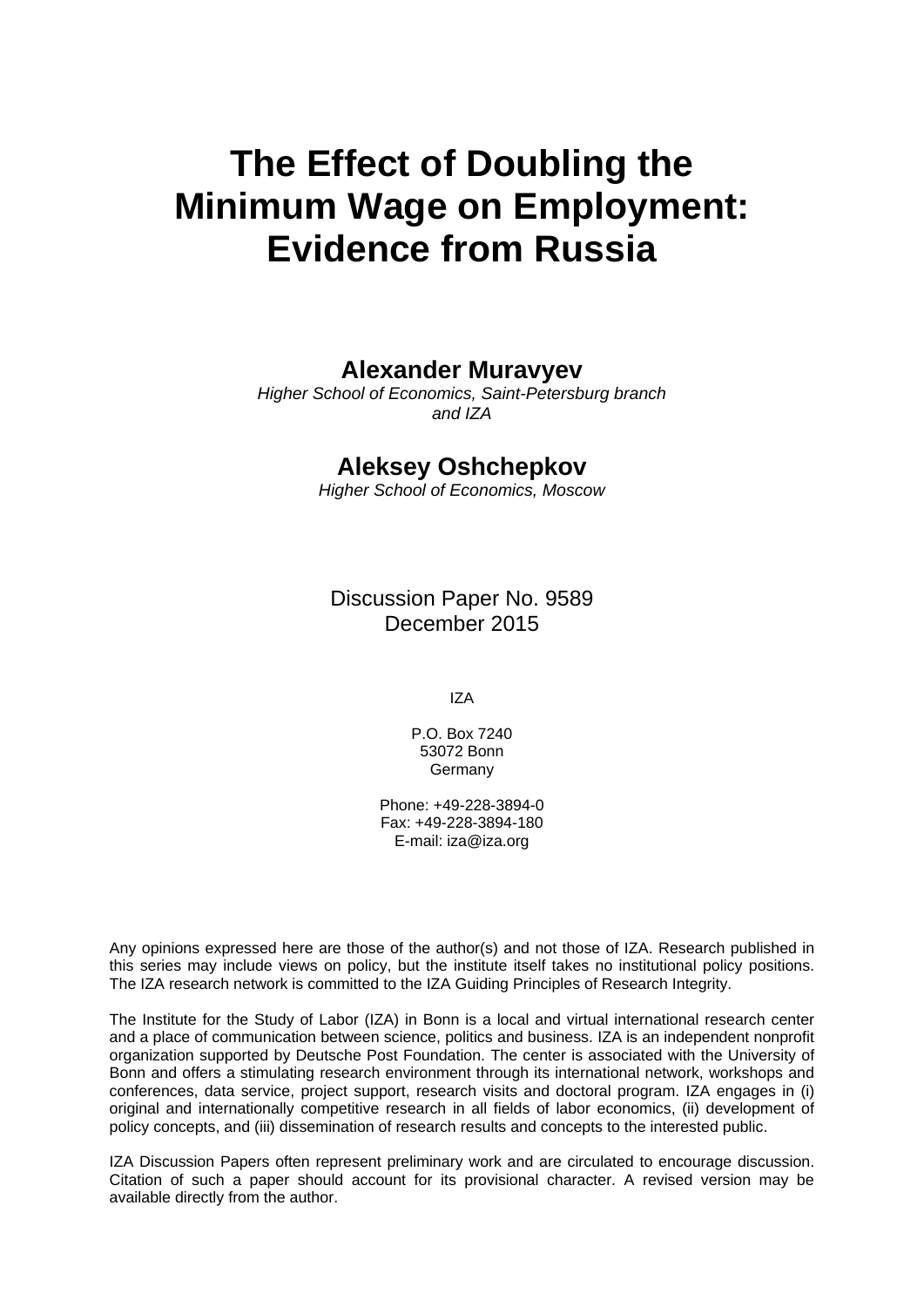# **The Effect of Doubling the Minimum Wage on Employment: Evidence from Russia**

## **Alexander Muravyev**

*Higher School of Economics, Saint-Petersburg branch and IZA* 

## **Aleksey Oshchepkov**

*Higher School of Economics, Moscow* 

Discussion Paper No. 9589 December 2015

IZA

P.O. Box 7240 53072 Bonn Germany

Phone: +49-228-3894-0 Fax: +49-228-3894-180 E-mail: iza@iza.org

Any opinions expressed here are those of the author(s) and not those of IZA. Research published in this series may include views on policy, but the institute itself takes no institutional policy positions. The IZA research network is committed to the IZA Guiding Principles of Research Integrity.

The Institute for the Study of Labor (IZA) in Bonn is a local and virtual international research center and a place of communication between science, politics and business. IZA is an independent nonprofit organization supported by Deutsche Post Foundation. The center is associated with the University of Bonn and offers a stimulating research environment through its international network, workshops and conferences, data service, project support, research visits and doctoral program. IZA engages in (i) original and internationally competitive research in all fields of labor economics, (ii) development of policy concepts, and (iii) dissemination of research results and concepts to the interested public.

IZA Discussion Papers often represent preliminary work and are circulated to encourage discussion. Citation of such a paper should account for its provisional character. A revised version may be available directly from the author.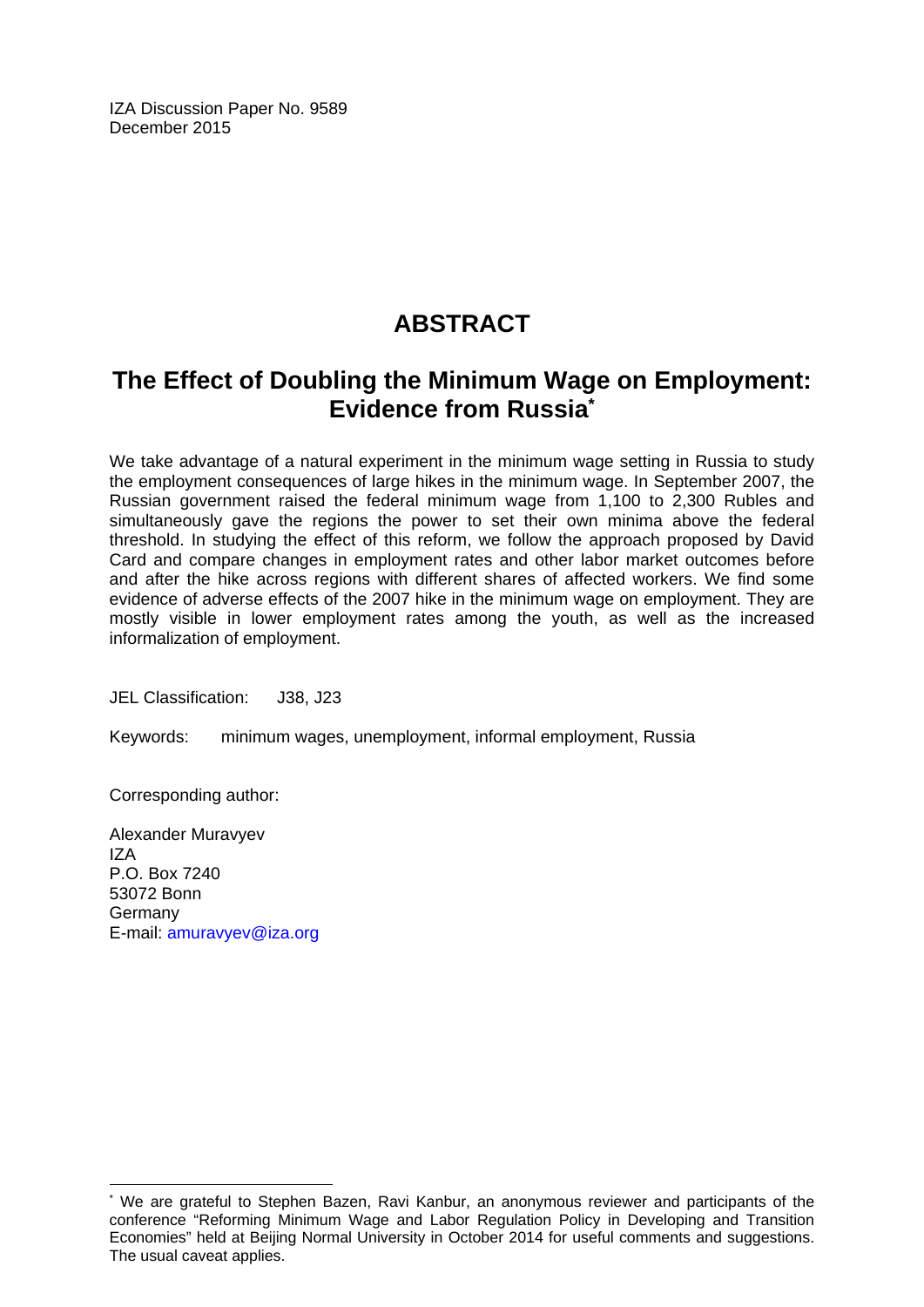IZA Discussion Paper No. 9589 December 2015

# **ABSTRACT**

# **The Effect of Doubling the Minimum Wage on Employment: Evidence from Russia\***

We take advantage of a natural experiment in the minimum wage setting in Russia to study the employment consequences of large hikes in the minimum wage. In September 2007, the Russian government raised the federal minimum wage from 1,100 to 2,300 Rubles and simultaneously gave the regions the power to set their own minima above the federal threshold. In studying the effect of this reform, we follow the approach proposed by David Card and compare changes in employment rates and other labor market outcomes before and after the hike across regions with different shares of affected workers. We find some evidence of adverse effects of the 2007 hike in the minimum wage on employment. They are mostly visible in lower employment rates among the youth, as well as the increased informalization of employment.

JEL Classification: J38, J23

Keywords: minimum wages, unemployment, informal employment, Russia

Corresponding author:

 $\overline{a}$ 

Alexander Muravyev IZA P.O. Box 7240 53072 Bonn Germany E-mail: amuravyev@iza.org

<sup>\*</sup> We are grateful to Stephen Bazen, Ravi Kanbur, an anonymous reviewer and participants of the conference "Reforming Minimum Wage and Labor Regulation Policy in Developing and Transition Economies" held at Beijing Normal University in October 2014 for useful comments and suggestions. The usual caveat applies.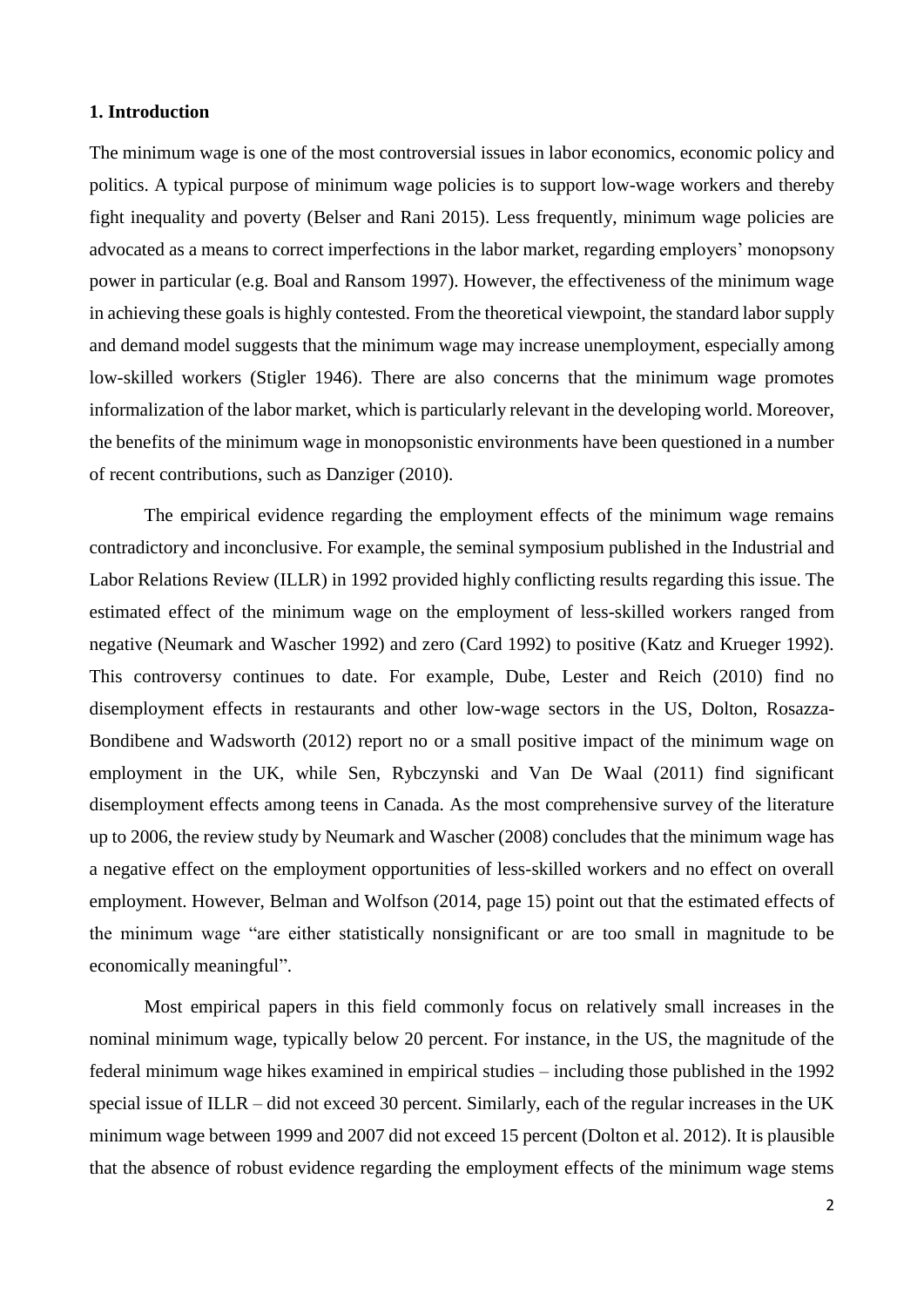#### **1. Introduction**

The minimum wage is one of the most controversial issues in labor economics, economic policy and politics. A typical purpose of minimum wage policies is to support low-wage workers and thereby fight inequality and poverty (Belser and Rani 2015). Less frequently, minimum wage policies are advocated as a means to correct imperfections in the labor market, regarding employers' monopsony power in particular (e.g. Boal and Ransom 1997). However, the effectiveness of the minimum wage in achieving these goals is highly contested. From the theoretical viewpoint, the standard labor supply and demand model suggests that the minimum wage may increase unemployment, especially among low-skilled workers (Stigler 1946). There are also concerns that the minimum wage promotes informalization of the labor market, which is particularly relevant in the developing world. Moreover, the benefits of the minimum wage in monopsonistic environments have been questioned in a number of recent contributions, such as Danziger (2010).

The empirical evidence regarding the employment effects of the minimum wage remains contradictory and inconclusive. For example, the seminal symposium published in the Industrial and Labor Relations Review (ILLR) in 1992 provided highly conflicting results regarding this issue. The estimated effect of the minimum wage on the employment of less-skilled workers ranged from negative (Neumark and Wascher 1992) and zero (Card 1992) to positive (Katz and Krueger 1992). This controversy continues to date. For example, Dube, Lester and Reich (2010) find no disemployment effects in restaurants and other low-wage sectors in the US, Dolton, Rosazza-Bondibene and Wadsworth (2012) report no or a small positive impact of the minimum wage on employment in the UK, while Sen, Rybczynski and Van De Waal (2011) find significant disemployment effects among teens in Canada. As the most comprehensive survey of the literature up to 2006, the review study by Neumark and Wascher (2008) concludes that the minimum wage has a negative effect on the employment opportunities of less-skilled workers and no effect on overall employment. However, Belman and Wolfson (2014, page 15) point out that the estimated effects of the minimum wage "are either statistically nonsignificant or are too small in magnitude to be economically meaningful".

Most empirical papers in this field commonly focus on relatively small increases in the nominal minimum wage, typically below 20 percent. For instance, in the US, the magnitude of the federal minimum wage hikes examined in empirical studies – including those published in the 1992 special issue of ILLR – did not exceed 30 percent. Similarly, each of the regular increases in the UK minimum wage between 1999 and 2007 did not exceed 15 percent (Dolton et al. 2012). It is plausible that the absence of robust evidence regarding the employment effects of the minimum wage stems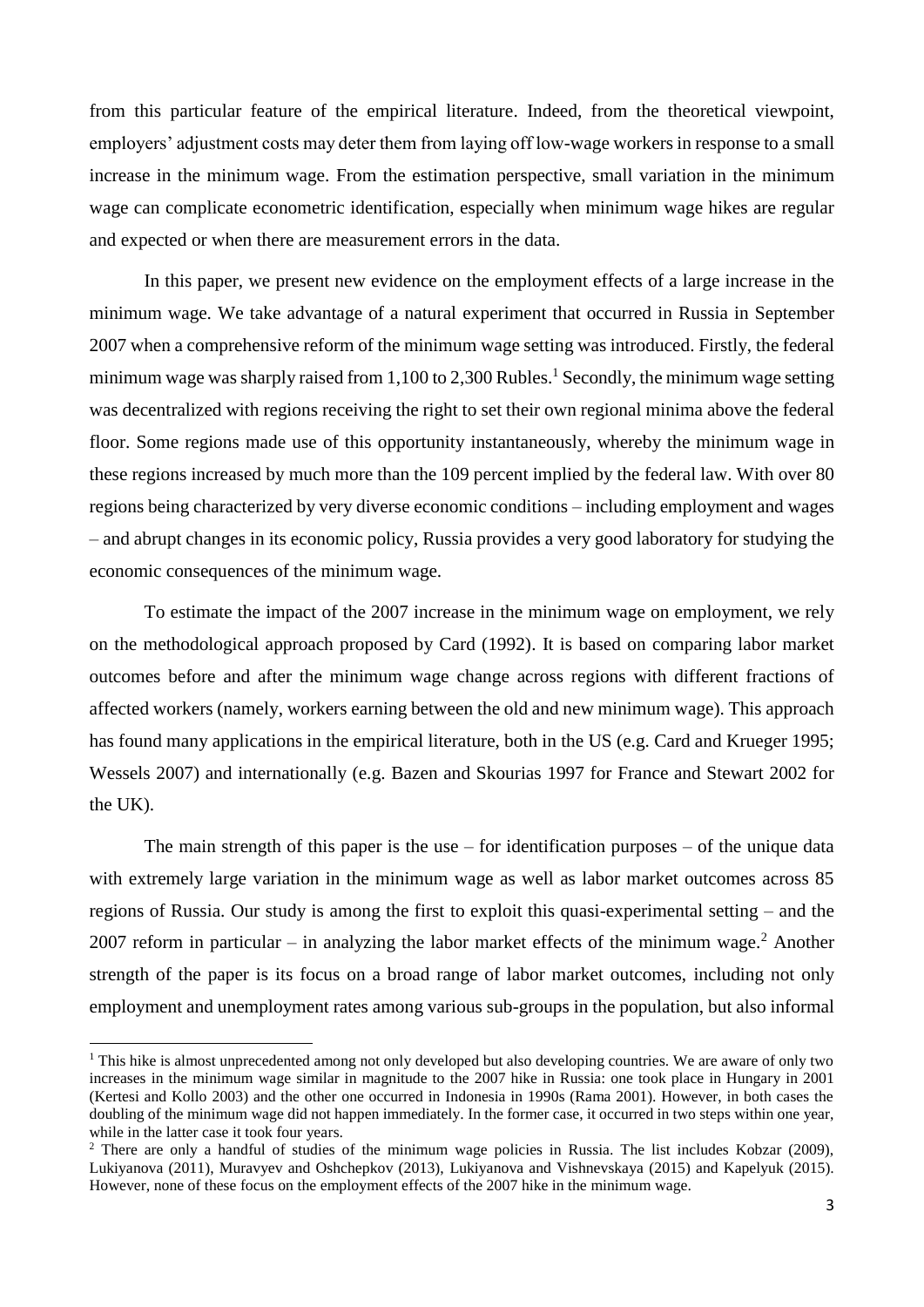from this particular feature of the empirical literature. Indeed, from the theoretical viewpoint, employers' adjustment costs may deter them from laying off low-wage workers in response to a small increase in the minimum wage. From the estimation perspective, small variation in the minimum wage can complicate econometric identification, especially when minimum wage hikes are regular and expected or when there are measurement errors in the data.

In this paper, we present new evidence on the employment effects of a large increase in the minimum wage. We take advantage of a natural experiment that occurred in Russia in September 2007 when a comprehensive reform of the minimum wage setting was introduced. Firstly, the federal minimum wage was sharply raised from 1,100 to 2,300 Rubles.<sup>1</sup> Secondly, the minimum wage setting was decentralized with regions receiving the right to set their own regional minima above the federal floor. Some regions made use of this opportunity instantaneously, whereby the minimum wage in these regions increased by much more than the 109 percent implied by the federal law. With over 80 regions being characterized by very diverse economic conditions – including employment and wages – and abrupt changes in its economic policy, Russia provides a very good laboratory for studying the economic consequences of the minimum wage.

To estimate the impact of the 2007 increase in the minimum wage on employment, we rely on the methodological approach proposed by Card (1992). It is based on comparing labor market outcomes before and after the minimum wage change across regions with different fractions of affected workers (namely, workers earning between the old and new minimum wage). This approach has found many applications in the empirical literature, both in the US (e.g. Card and Krueger 1995; Wessels 2007) and internationally (e.g. Bazen and Skourias 1997 for France and Stewart 2002 for the UK).

The main strength of this paper is the use – for identification purposes – of the unique data with extremely large variation in the minimum wage as well as labor market outcomes across 85 regions of Russia. Our study is among the first to exploit this quasi-experimental setting – and the 2007 reform in particular – in analyzing the labor market effects of the minimum wage.<sup>2</sup> Another strength of the paper is its focus on a broad range of labor market outcomes, including not only employment and unemployment rates among various sub-groups in the population, but also informal

<sup>&</sup>lt;sup>1</sup> This hike is almost unprecedented among not only developed but also developing countries. We are aware of only two increases in the minimum wage similar in magnitude to the 2007 hike in Russia: one took place in Hungary in 2001 (Kertesi and Kollo 2003) and the other one occurred in Indonesia in 1990s (Rama 2001). However, in both cases the doubling of the minimum wage did not happen immediately. In the former case, it occurred in two steps within one year, while in the latter case it took four years.

<sup>&</sup>lt;sup>2</sup> There are only a handful of studies of the minimum wage policies in Russia. The list includes Kobzar (2009), Lukiyanova (2011), Muravyev and Oshchepkov (2013), Lukiyanova and Vishnevskaya (2015) and Kapelyuk (2015). However, none of these focus on the employment effects of the 2007 hike in the minimum wage.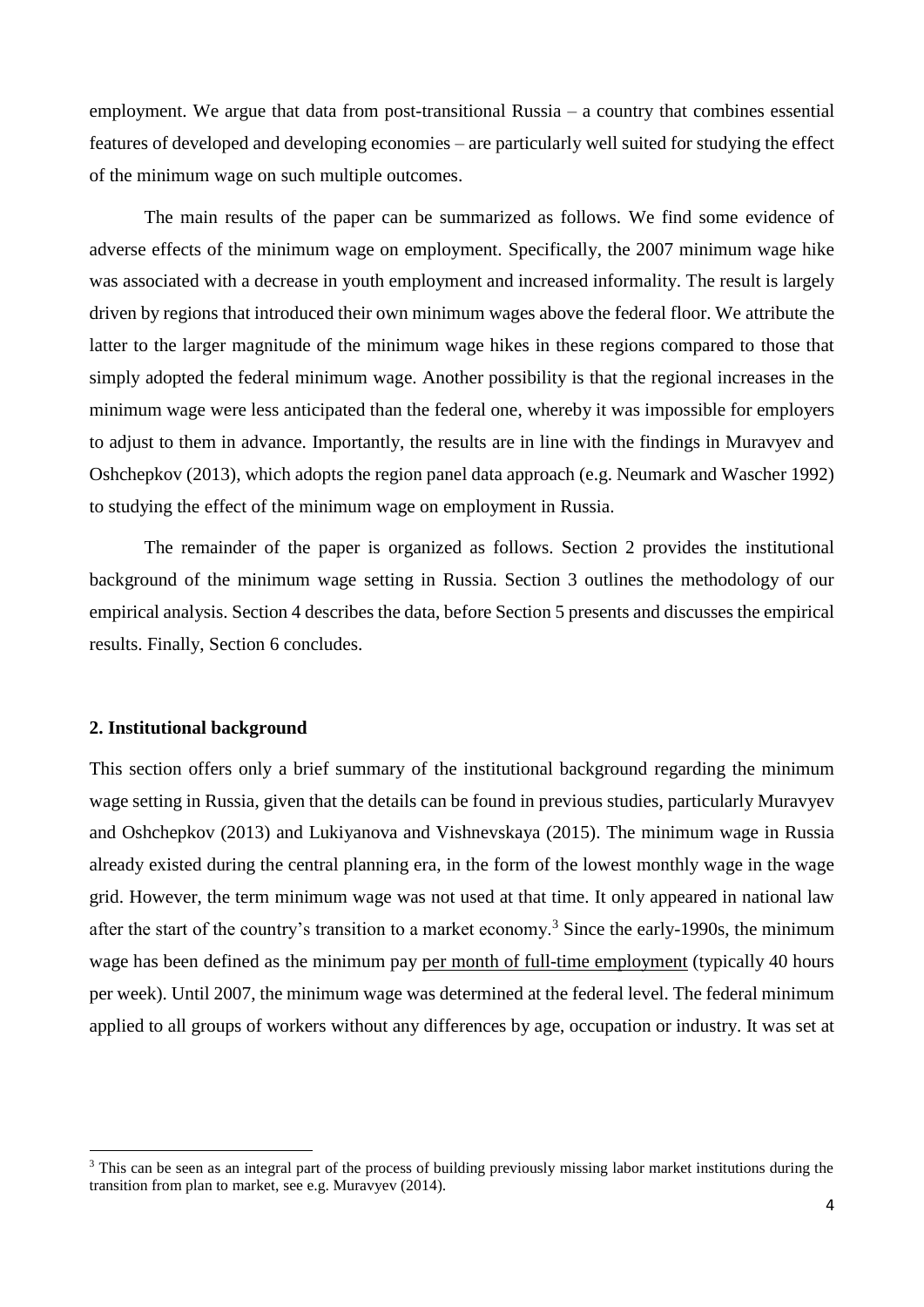employment. We argue that data from post-transitional Russia – a country that combines essential features of developed and developing economies – are particularly well suited for studying the effect of the minimum wage on such multiple outcomes.

The main results of the paper can be summarized as follows. We find some evidence of adverse effects of the minimum wage on employment. Specifically, the 2007 minimum wage hike was associated with a decrease in youth employment and increased informality. The result is largely driven by regions that introduced their own minimum wages above the federal floor. We attribute the latter to the larger magnitude of the minimum wage hikes in these regions compared to those that simply adopted the federal minimum wage. Another possibility is that the regional increases in the minimum wage were less anticipated than the federal one, whereby it was impossible for employers to adjust to them in advance. Importantly, the results are in line with the findings in Muravyev and Oshchepkov (2013), which adopts the region panel data approach (e.g. Neumark and Wascher 1992) to studying the effect of the minimum wage on employment in Russia.

The remainder of the paper is organized as follows. Section 2 provides the institutional background of the minimum wage setting in Russia. Section 3 outlines the methodology of our empirical analysis. Section 4 describes the data, before Section 5 presents and discusses the empirical results. Finally, Section 6 concludes.

#### **2. Institutional background**

 $\overline{a}$ 

This section offers only a brief summary of the institutional background regarding the minimum wage setting in Russia, given that the details can be found in previous studies, particularly Muravyev and Oshchepkov (2013) and Lukiyanova and Vishnevskaya (2015). The minimum wage in Russia already existed during the central planning era, in the form of the lowest monthly wage in the wage grid. However, the term minimum wage was not used at that time. It only appeared in national law after the start of the country's transition to a market economy.<sup>3</sup> Since the early-1990s, the minimum wage has been defined as the minimum pay per month of full-time employment (typically 40 hours per week). Until 2007, the minimum wage was determined at the federal level. The federal minimum applied to all groups of workers without any differences by age, occupation or industry. It was set at

<sup>&</sup>lt;sup>3</sup> This can be seen as an integral part of the process of building previously missing labor market institutions during the transition from plan to market, see e.g. Muravyev (2014).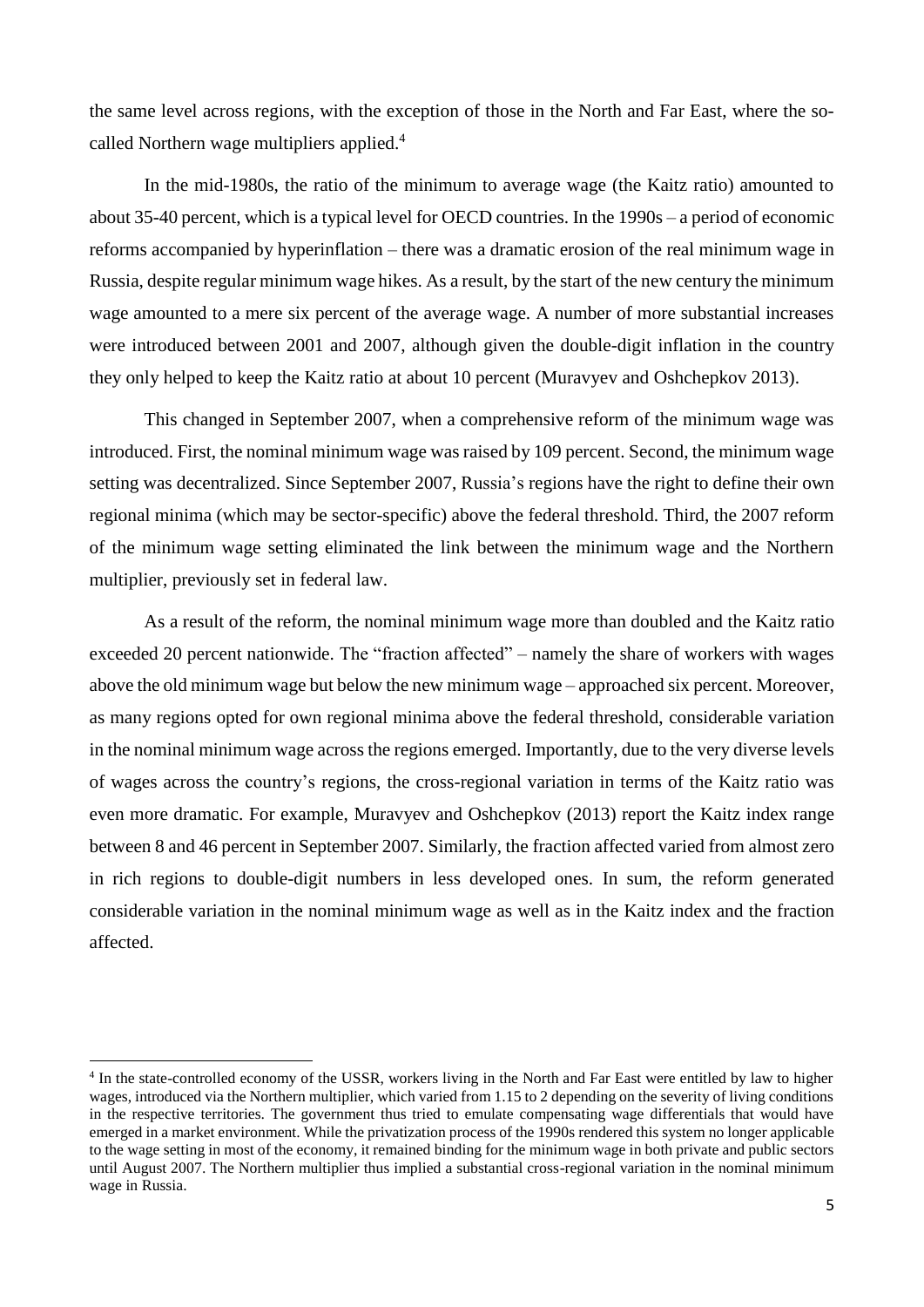the same level across regions, with the exception of those in the North and Far East, where the socalled Northern wage multipliers applied.<sup>4</sup>

In the mid-1980s, the ratio of the minimum to average wage (the Kaitz ratio) amounted to about 35-40 percent, which is a typical level for OECD countries. In the 1990s – a period of economic reforms accompanied by hyperinflation – there was a dramatic erosion of the real minimum wage in Russia, despite regular minimum wage hikes. As a result, by the start of the new century the minimum wage amounted to a mere six percent of the average wage. A number of more substantial increases were introduced between 2001 and 2007, although given the double-digit inflation in the country they only helped to keep the Kaitz ratio at about 10 percent (Muravyev and Oshchepkov 2013).

This changed in September 2007, when a comprehensive reform of the minimum wage was introduced. First, the nominal minimum wage was raised by 109 percent. Second, the minimum wage setting was decentralized. Since September 2007, Russia's regions have the right to define their own regional minima (which may be sector-specific) above the federal threshold. Third, the 2007 reform of the minimum wage setting eliminated the link between the minimum wage and the Northern multiplier, previously set in federal law.

As a result of the reform, the nominal minimum wage more than doubled and the Kaitz ratio exceeded 20 percent nationwide. The "fraction affected" – namely the share of workers with wages above the old minimum wage but below the new minimum wage – approached six percent. Moreover, as many regions opted for own regional minima above the federal threshold, considerable variation in the nominal minimum wage across the regions emerged. Importantly, due to the very diverse levels of wages across the country's regions, the cross-regional variation in terms of the Kaitz ratio was even more dramatic. For example, Muravyev and Oshchepkov (2013) report the Kaitz index range between 8 and 46 percent in September 2007. Similarly, the fraction affected varied from almost zero in rich regions to double-digit numbers in less developed ones. In sum, the reform generated considerable variation in the nominal minimum wage as well as in the Kaitz index and the fraction affected.

<sup>&</sup>lt;sup>4</sup> In the state-controlled economy of the USSR, workers living in the North and Far East were entitled by law to higher wages, introduced via the Northern multiplier, which varied from 1.15 to 2 depending on the severity of living conditions in the respective territories. The government thus tried to emulate compensating wage differentials that would have emerged in a market environment. While the privatization process of the 1990s rendered this system no longer applicable to the wage setting in most of the economy, it remained binding for the minimum wage in both private and public sectors until August 2007. The Northern multiplier thus implied a substantial cross-regional variation in the nominal minimum wage in Russia.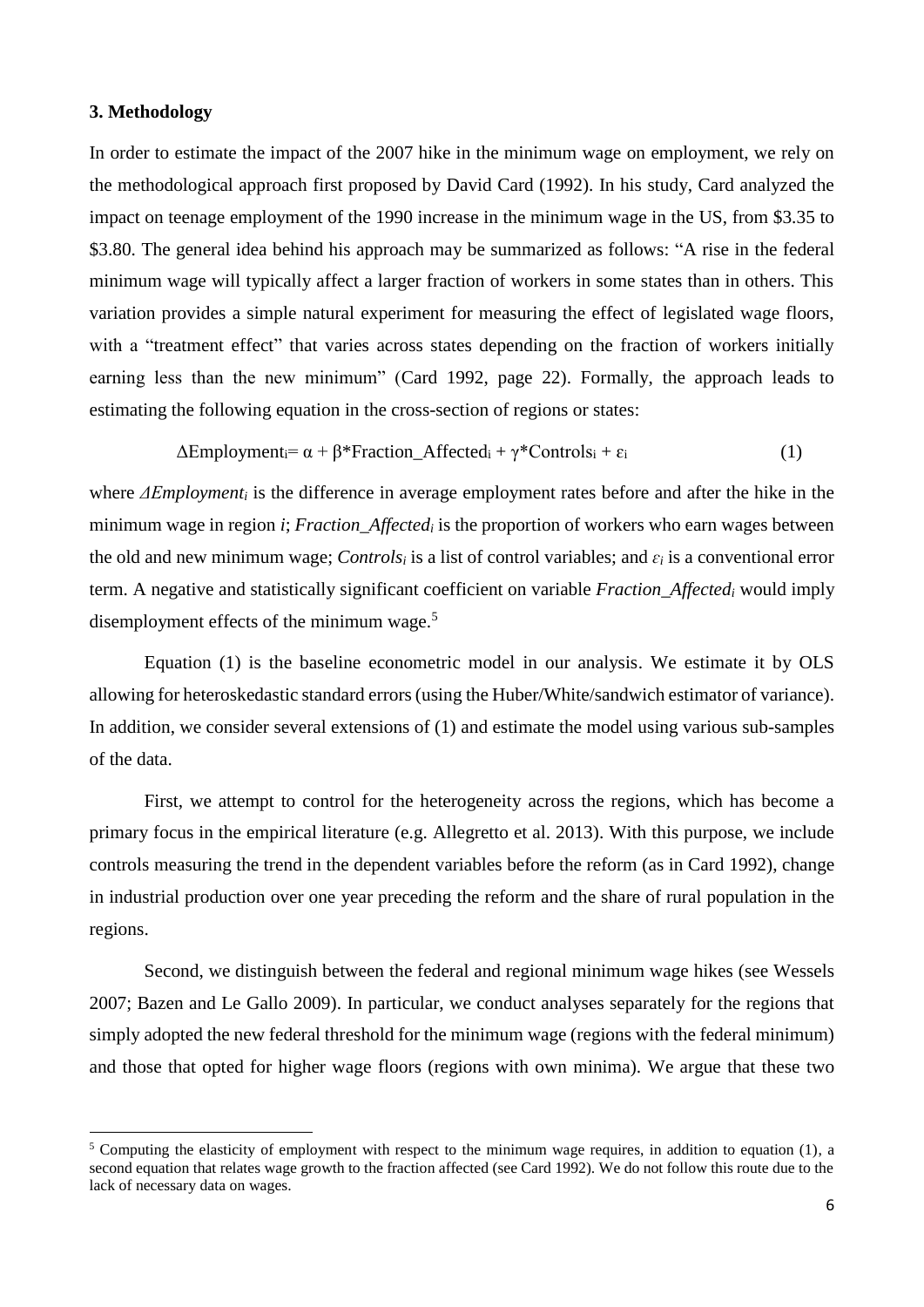#### **3. Methodology**

 $\overline{a}$ 

In order to estimate the impact of the 2007 hike in the minimum wage on employment, we rely on the methodological approach first proposed by David Card (1992). In his study, Card analyzed the impact on teenage employment of the 1990 increase in the minimum wage in the US, from \$3.35 to \$3.80. The general idea behind his approach may be summarized as follows: "A rise in the federal minimum wage will typically affect a larger fraction of workers in some states than in others. This variation provides a simple natural experiment for measuring the effect of legislated wage floors, with a "treatment effect" that varies across states depending on the fraction of workers initially earning less than the new minimum" (Card 1992, page 22). Formally, the approach leads to estimating the following equation in the cross-section of regions or states:

$$
\Delta Employment_i = \alpha + \beta * Fraction\_Affected_i + \gamma * controls_i + \varepsilon_i \tag{1}
$$

where *ΔEmployment<sup>i</sup>* is the difference in average employment rates before and after the hike in the minimum wage in region *i*; *Fraction\_Affected<sup>i</sup>* is the proportion of workers who earn wages between the old and new minimum wage; *Controls<sup>i</sup>* is a list of control variables; and *ɛ<sup>i</sup>* is a conventional error term. A negative and statistically significant coefficient on variable *Fraction\_Affected<sup>i</sup>* would imply disemployment effects of the minimum wage.<sup>5</sup>

Equation (1) is the baseline econometric model in our analysis. We estimate it by OLS allowing for heteroskedastic standard errors (using the Huber/White/sandwich estimator of variance). In addition, we consider several extensions of (1) and estimate the model using various sub-samples of the data.

First, we attempt to control for the heterogeneity across the regions, which has become a primary focus in the empirical literature (e.g. Allegretto et al. 2013). With this purpose, we include controls measuring the trend in the dependent variables before the reform (as in Card 1992), change in industrial production over one year preceding the reform and the share of rural population in the regions.

Second, we distinguish between the federal and regional minimum wage hikes (see Wessels 2007; Bazen and Le Gallo 2009). In particular, we conduct analyses separately for the regions that simply adopted the new federal threshold for the minimum wage (regions with the federal minimum) and those that opted for higher wage floors (regions with own minima). We argue that these two

<sup>&</sup>lt;sup>5</sup> Computing the elasticity of employment with respect to the minimum wage requires, in addition to equation (1), a second equation that relates wage growth to the fraction affected (see Card 1992). We do not follow this route due to the lack of necessary data on wages.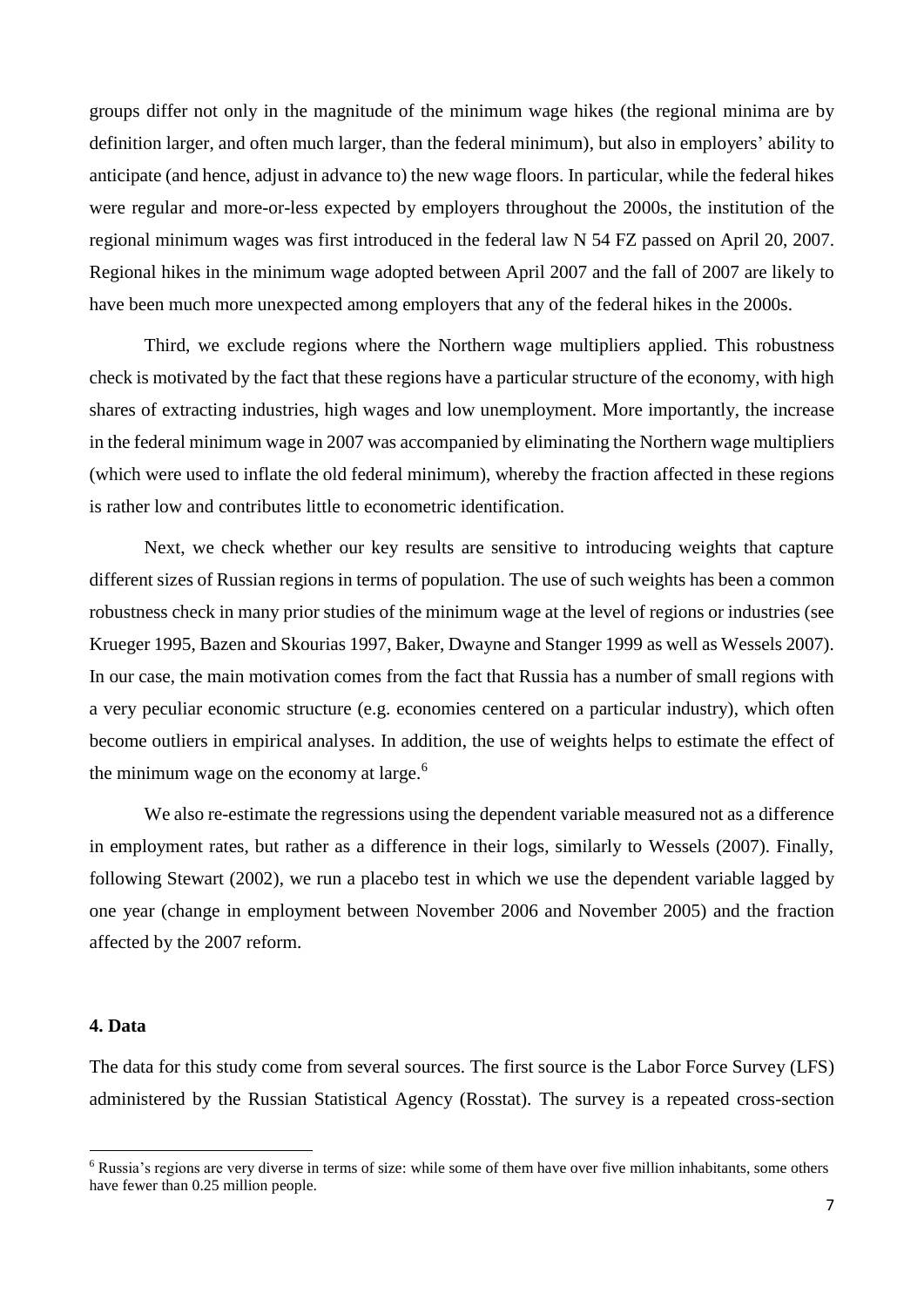groups differ not only in the magnitude of the minimum wage hikes (the regional minima are by definition larger, and often much larger, than the federal minimum), but also in employers' ability to anticipate (and hence, adjust in advance to) the new wage floors. In particular, while the federal hikes were regular and more-or-less expected by employers throughout the 2000s, the institution of the regional minimum wages was first introduced in the federal law N 54 FZ passed on April 20, 2007. Regional hikes in the minimum wage adopted between April 2007 and the fall of 2007 are likely to have been much more unexpected among employers that any of the federal hikes in the 2000s.

Third, we exclude regions where the Northern wage multipliers applied. This robustness check is motivated by the fact that these regions have a particular structure of the economy, with high shares of extracting industries, high wages and low unemployment. More importantly, the increase in the federal minimum wage in 2007 was accompanied by eliminating the Northern wage multipliers (which were used to inflate the old federal minimum), whereby the fraction affected in these regions is rather low and contributes little to econometric identification.

Next, we check whether our key results are sensitive to introducing weights that capture different sizes of Russian regions in terms of population. The use of such weights has been a common robustness check in many prior studies of the minimum wage at the level of regions or industries (see Krueger 1995, Bazen and Skourias 1997, Baker, Dwayne and Stanger 1999 as well as Wessels 2007). In our case, the main motivation comes from the fact that Russia has a number of small regions with a very peculiar economic structure (e.g. economies centered on a particular industry), which often become outliers in empirical analyses. In addition, the use of weights helps to estimate the effect of the minimum wage on the economy at large. $6$ 

We also re-estimate the regressions using the dependent variable measured not as a difference in employment rates, but rather as a difference in their logs, similarly to Wessels (2007). Finally, following Stewart (2002), we run a placebo test in which we use the dependent variable lagged by one year (change in employment between November 2006 and November 2005) and the fraction affected by the 2007 reform.

#### **4. Data**

 $\overline{a}$ 

The data for this study come from several sources. The first source is the Labor Force Survey (LFS) administered by the Russian Statistical Agency (Rosstat). The survey is a repeated cross-section

<sup>6</sup> Russia's regions are very diverse in terms of size: while some of them have over five million inhabitants, some others have fewer than 0.25 million people.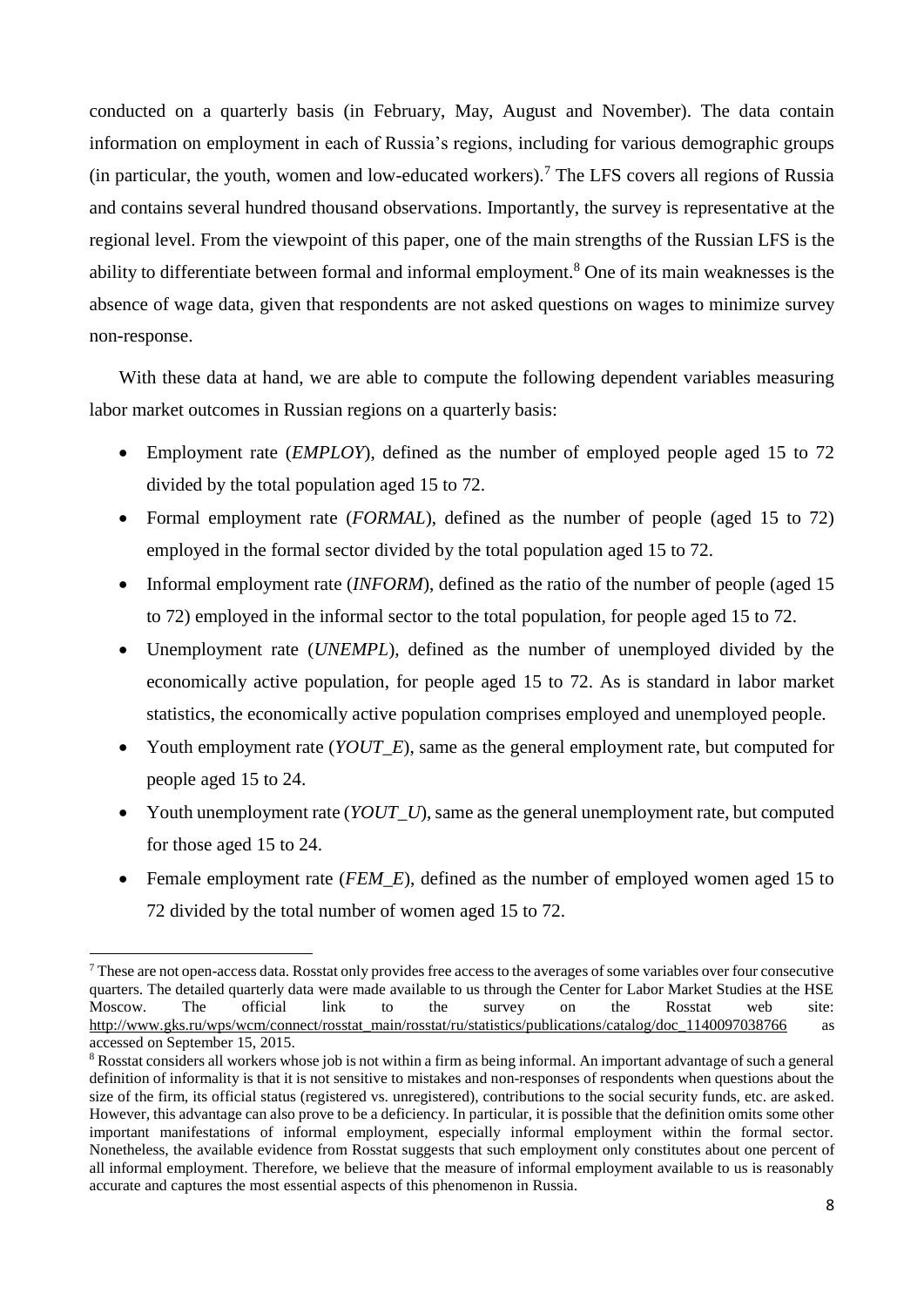conducted on a quarterly basis (in February, May, August and November). The data contain information on employment in each of Russia's regions, including for various demographic groups (in particular, the youth, women and low-educated workers).<sup>7</sup> The LFS covers all regions of Russia and contains several hundred thousand observations. Importantly, the survey is representative at the regional level. From the viewpoint of this paper, one of the main strengths of the Russian LFS is the ability to differentiate between formal and informal employment.<sup>8</sup> One of its main weaknesses is the absence of wage data, given that respondents are not asked questions on wages to minimize survey non-response.

With these data at hand, we are able to compute the following dependent variables measuring labor market outcomes in Russian regions on a quarterly basis:

- Employment rate (*EMPLOY*), defined as the number of employed people aged 15 to 72 divided by the total population aged 15 to 72.
- Formal employment rate (*FORMAL*), defined as the number of people (aged 15 to 72) employed in the formal sector divided by the total population aged 15 to 72.
- Informal employment rate *(INFORM)*, defined as the ratio of the number of people (aged 15 to 72) employed in the informal sector to the total population, for people aged 15 to 72.
- Unemployment rate (*UNEMPL*), defined as the number of unemployed divided by the economically active population, for people aged 15 to 72. As is standard in labor market statistics, the economically active population comprises employed and unemployed people.
- Youth employment rate (*YOUT\_E*), same as the general employment rate, but computed for people aged 15 to 24.
- Youth unemployment rate (*YOUT\_U*), same as the general unemployment rate, but computed for those aged 15 to 24.
- Female employment rate (*FEM\_E*), defined as the number of employed women aged 15 to 72 divided by the total number of women aged 15 to 72.

 $^7$  These are not open-access data. Rosstat only provides free access to the averages of some variables over four consecutive quarters. The detailed quarterly data were made available to us through the Center for Labor Market Studies at the HSE Moscow. The official link to the survey on the Rosstat web site: [http://www.gks.ru/wps/wcm/connect/rosstat\\_main/rosstat/ru/statistics/publications/catalog/doc\\_1140097038766](http://www.gks.ru/wps/wcm/connect/rosstat_main/rosstat/ru/statistics/publications/catalog/doc_1140097038766) as accessed on September 15, 2015.

<sup>&</sup>lt;sup>8</sup> Rosstat considers all workers whose job is not within a firm as being informal. An important advantage of such a general definition of informality is that it is not sensitive to mistakes and non-responses of respondents when questions about the size of the firm, its official status (registered vs. unregistered), contributions to the social security funds, etc. are asked. However, this advantage can also prove to be a deficiency. In particular, it is possible that the definition omits some other important manifestations of informal employment, especially informal employment within the formal sector. Nonetheless, the available evidence from Rosstat suggests that such employment only constitutes about one percent of all informal employment. Therefore, we believe that the measure of informal employment available to us is reasonably accurate and captures the most essential aspects of this phenomenon in Russia.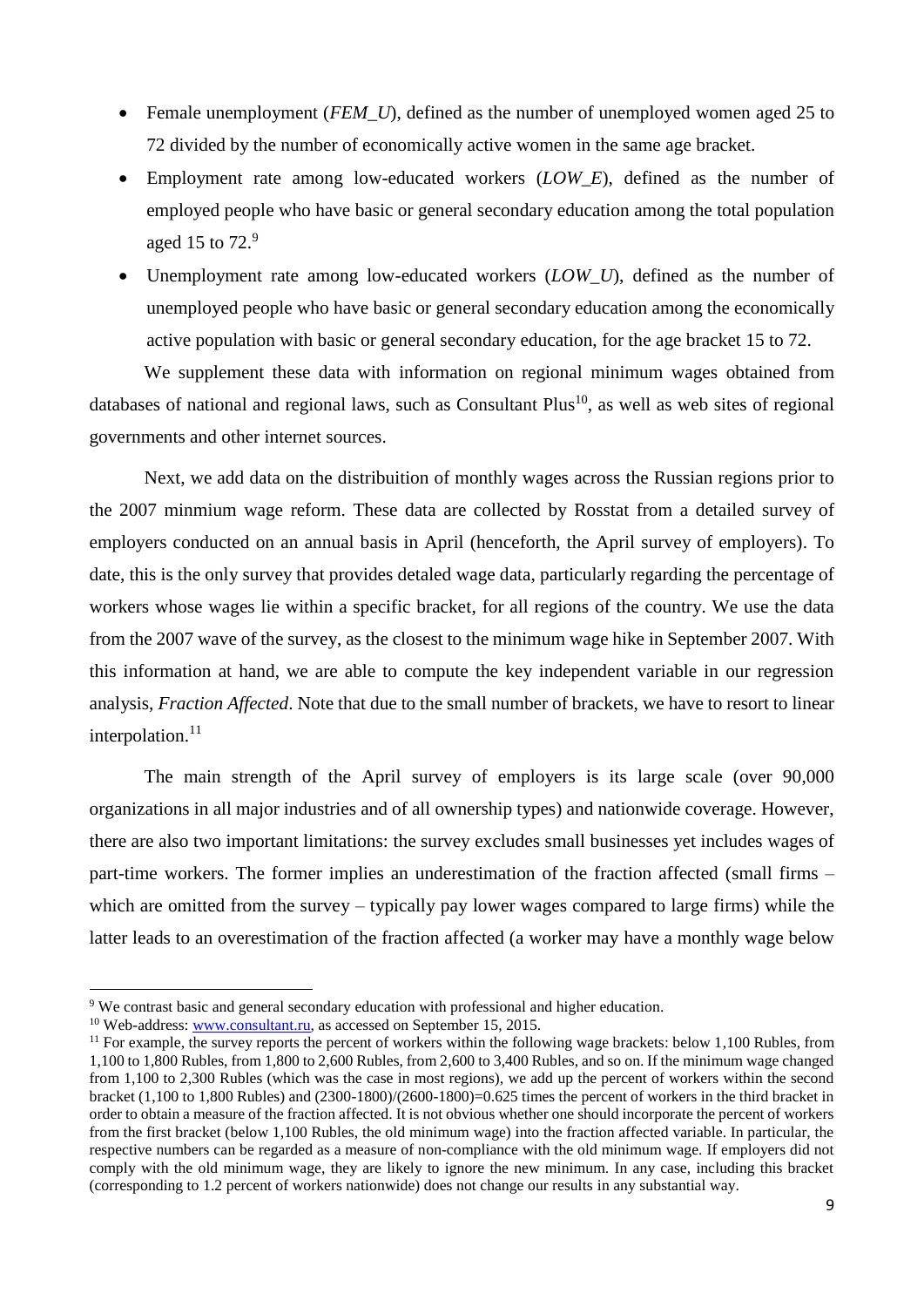- Female unemployment *(FEM U)*, defined as the number of unemployed women aged 25 to 72 divided by the number of economically active women in the same age bracket.
- Employment rate among low-educated workers (*LOW\_E*), defined as the number of employed people who have basic or general secondary education among the total population aged 15 to 72.<sup>9</sup>
- Unemployment rate among low-educated workers (*LOW\_U*), defined as the number of unemployed people who have basic or general secondary education among the economically active population with basic or general secondary education, for the age bracket 15 to 72.

We supplement these data with information on regional minimum wages obtained from databases of national and regional laws, such as Consultant Plus<sup>10</sup>, as well as web sites of regional governments and other internet sources.

Next, we add data on the distribuition of monthly wages across the Russian regions prior to the 2007 minmium wage reform. These data are collected by Rosstat from a detailed survey of employers conducted on an annual basis in April (henceforth, the April survey of employers). To date, this is the only survey that provides detaled wage data, particularly regarding the percentage of workers whose wages lie within a specific bracket, for all regions of the country. We use the data from the 2007 wave of the survey, as the closest to the minimum wage hike in September 2007. With this information at hand, we are able to compute the key independent variable in our regression analysis, *Fraction Affected*. Note that due to the small number of brackets, we have to resort to linear interpolation. $11$ 

The main strength of the April survey of employers is its large scale (over 90,000 organizations in all major industries and of all ownership types) and nationwide coverage. However, there are also two important limitations: the survey excludes small businesses yet includes wages of part-time workers. The former implies an underestimation of the fraction affected (small firms – which are omitted from the survey – typically pay lower wages compared to large firms) while the latter leads to an overestimation of the fraction affected (a worker may have a monthly wage below

<sup>9</sup> We contrast basic and general secondary education with professional and higher education.

<sup>&</sup>lt;sup>10</sup> Web-address: [www.consultant.ru,](http://www.consultant.ru/) as accessed on September 15, 2015.

 $11$  For example, the survey reports the percent of workers within the following wage brackets: below 1,100 Rubles, from 1,100 to 1,800 Rubles, from 1,800 to 2,600 Rubles, from 2,600 to 3,400 Rubles, and so on. If the minimum wage changed from 1,100 to 2,300 Rubles (which was the case in most regions), we add up the percent of workers within the second bracket (1,100 to 1,800 Rubles) and (2300-1800)/(2600-1800)=0.625 times the percent of workers in the third bracket in order to obtain a measure of the fraction affected. It is not obvious whether one should incorporate the percent of workers from the first bracket (below 1,100 Rubles, the old minimum wage) into the fraction affected variable. In particular, the respective numbers can be regarded as a measure of non-compliance with the old minimum wage. If employers did not comply with the old minimum wage, they are likely to ignore the new minimum. In any case, including this bracket (corresponding to 1.2 percent of workers nationwide) does not change our results in any substantial way.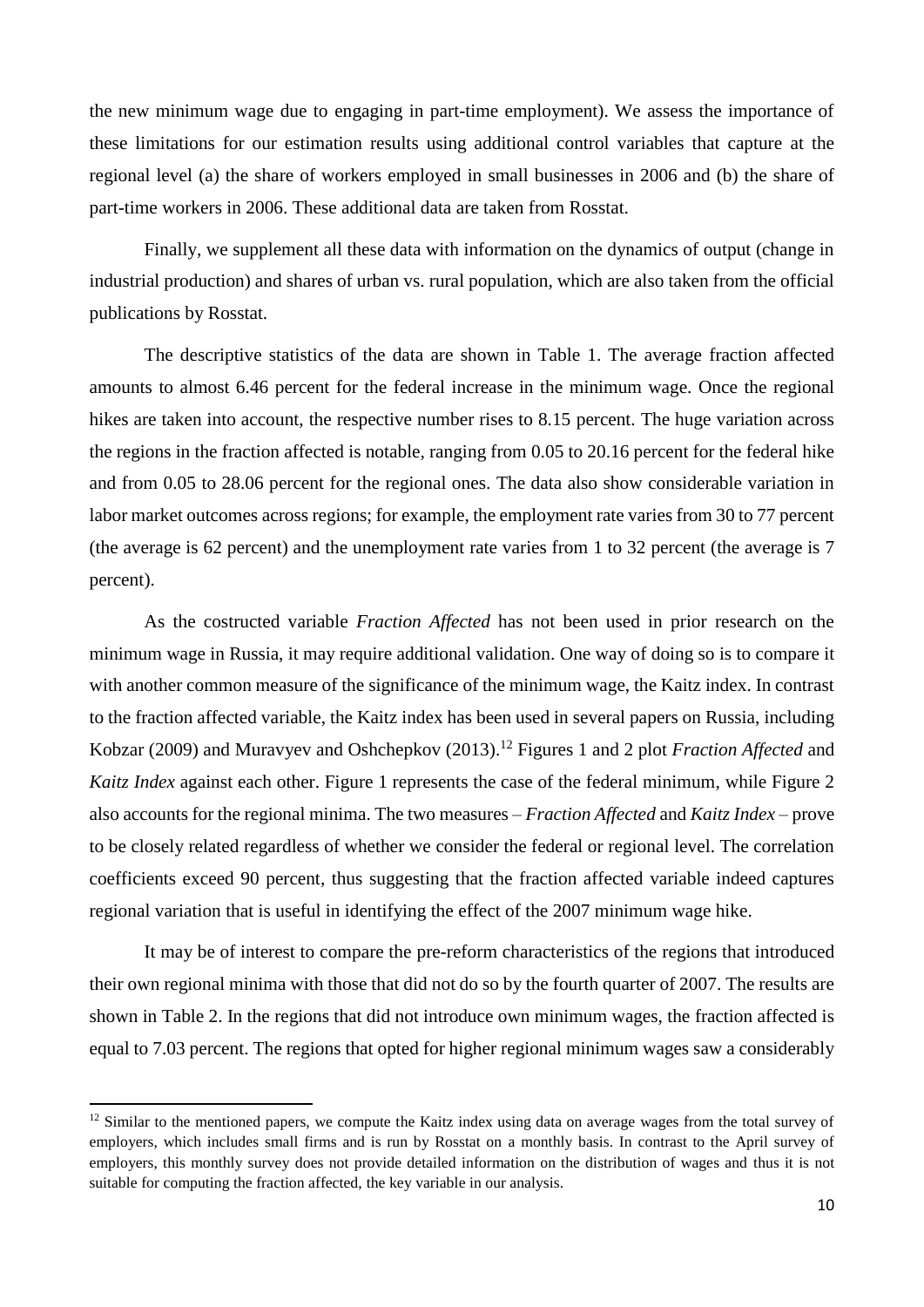the new minimum wage due to engaging in part-time employment). We assess the importance of these limitations for our estimation results using additional control variables that capture at the regional level (a) the share of workers employed in small businesses in 2006 and (b) the share of part-time workers in 2006. These additional data are taken from Rosstat.

Finally, we supplement all these data with information on the dynamics of output (change in industrial production) and shares of urban vs. rural population, which are also taken from the official publications by Rosstat.

The descriptive statistics of the data are shown in Table 1. The average fraction affected amounts to almost 6.46 percent for the federal increase in the minimum wage. Once the regional hikes are taken into account, the respective number rises to 8.15 percent. The huge variation across the regions in the fraction affected is notable, ranging from 0.05 to 20.16 percent for the federal hike and from 0.05 to 28.06 percent for the regional ones. The data also show considerable variation in labor market outcomes across regions; for example, the employment rate varies from 30 to 77 percent (the average is 62 percent) and the unemployment rate varies from 1 to 32 percent (the average is 7 percent).

As the costructed variable *Fraction Affected* has not been used in prior research on the minimum wage in Russia, it may require additional validation. One way of doing so is to compare it with another common measure of the significance of the minimum wage, the Kaitz index. In contrast to the fraction affected variable, the Kaitz index has been used in several papers on Russia, including Kobzar (2009) and Muravyev and Oshchepkov (2013). <sup>12</sup> Figures 1 and 2 plot *Fraction Affected* and *Kaitz Index* against each other. Figure 1 represents the case of the federal minimum, while Figure 2 also accounts for the regional minima. The two measures – *Fraction Affected* and *Kaitz Index* – prove to be closely related regardless of whether we consider the federal or regional level. The correlation coefficients exceed 90 percent, thus suggesting that the fraction affected variable indeed captures regional variation that is useful in identifying the effect of the 2007 minimum wage hike.

It may be of interest to compare the pre-reform characteristics of the regions that introduced their own regional minima with those that did not do so by the fourth quarter of 2007. The results are shown in Table 2. In the regions that did not introduce own minimum wages, the fraction affected is equal to 7.03 percent. The regions that opted for higher regional minimum wages saw a considerably

<sup>&</sup>lt;sup>12</sup> Similar to the mentioned papers, we compute the Kaitz index using data on average wages from the total survey of employers, which includes small firms and is run by Rosstat on a monthly basis. In contrast to the April survey of employers, this monthly survey does not provide detailed information on the distribution of wages and thus it is not suitable for computing the fraction affected, the key variable in our analysis.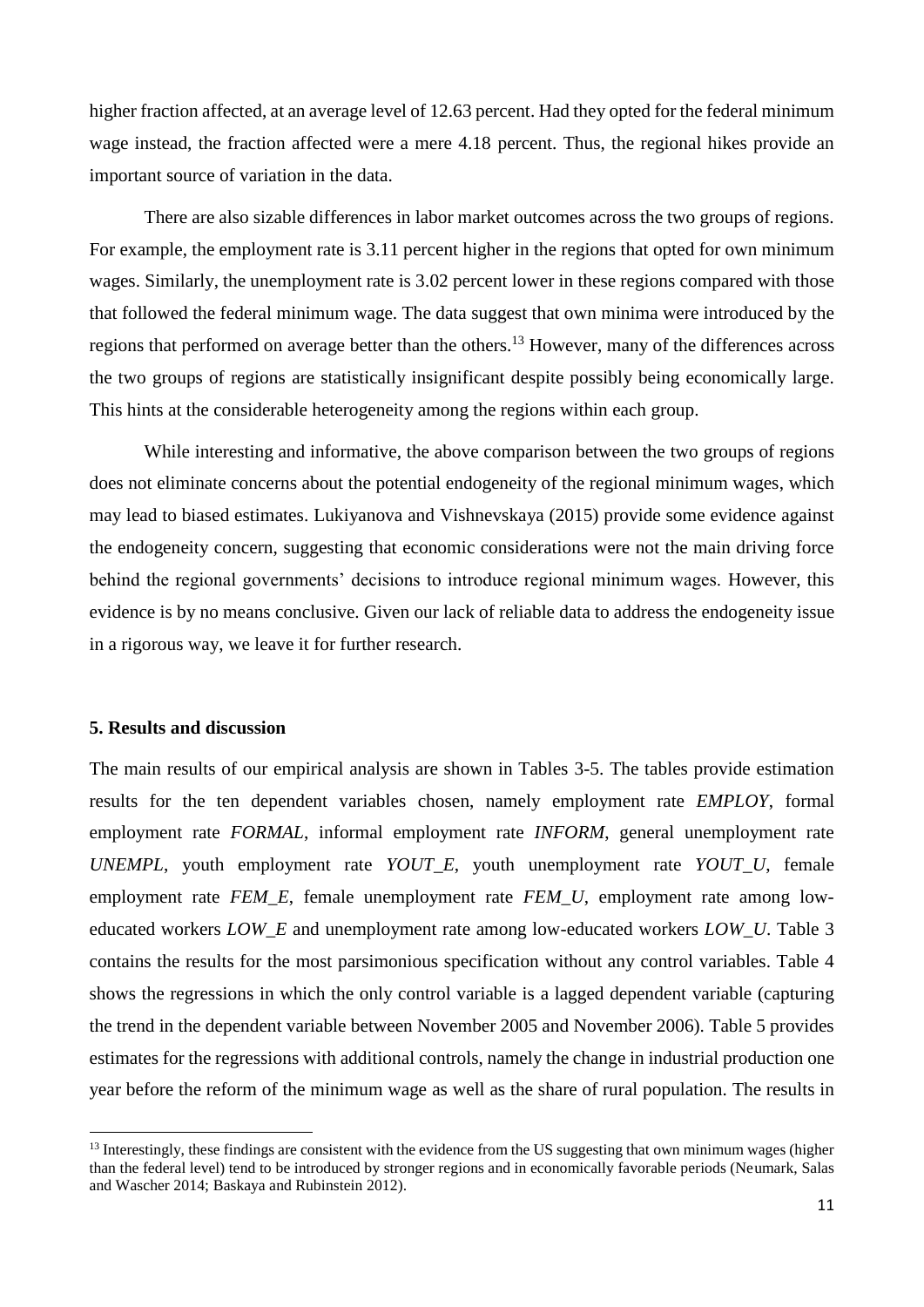higher fraction affected, at an average level of 12.63 percent. Had they opted for the federal minimum wage instead, the fraction affected were a mere 4.18 percent. Thus, the regional hikes provide an important source of variation in the data.

There are also sizable differences in labor market outcomes across the two groups of regions. For example, the employment rate is 3.11 percent higher in the regions that opted for own minimum wages. Similarly, the unemployment rate is 3.02 percent lower in these regions compared with those that followed the federal minimum wage. The data suggest that own minima were introduced by the regions that performed on average better than the others.<sup>13</sup> However, many of the differences across the two groups of regions are statistically insignificant despite possibly being economically large. This hints at the considerable heterogeneity among the regions within each group.

While interesting and informative, the above comparison between the two groups of regions does not eliminate concerns about the potential endogeneity of the regional minimum wages, which may lead to biased estimates. Lukiyanova and Vishnevskaya (2015) provide some evidence against the endogeneity concern, suggesting that economic considerations were not the main driving force behind the regional governments' decisions to introduce regional minimum wages. However, this evidence is by no means conclusive. Given our lack of reliable data to address the endogeneity issue in a rigorous way, we leave it for further research.

#### **5. Results and discussion**

 $\overline{a}$ 

The main results of our empirical analysis are shown in Tables 3-5. The tables provide estimation results for the ten dependent variables chosen, namely employment rate *EMPLOY*, formal employment rate *FORMAL*, informal employment rate *INFORM*, general unemployment rate *UNEMPL*, youth employment rate *YOUT\_E*, youth unemployment rate *YOUT\_U*, female employment rate *FEM\_E*, female unemployment rate *FEM\_U*, employment rate among loweducated workers *LOW\_E* and unemployment rate among low-educated workers *LOW\_U*. Table 3 contains the results for the most parsimonious specification without any control variables. Table 4 shows the regressions in which the only control variable is a lagged dependent variable (capturing the trend in the dependent variable between November 2005 and November 2006). Table 5 provides estimates for the regressions with additional controls, namely the change in industrial production one year before the reform of the minimum wage as well as the share of rural population. The results in

 $<sup>13</sup>$  Interestingly, these findings are consistent with the evidence from the US suggesting that own minimum wages (higher</sup> than the federal level) tend to be introduced by stronger regions and in economically favorable periods (Neumark, Salas and Wascher 2014; Baskaya and Rubinstein 2012).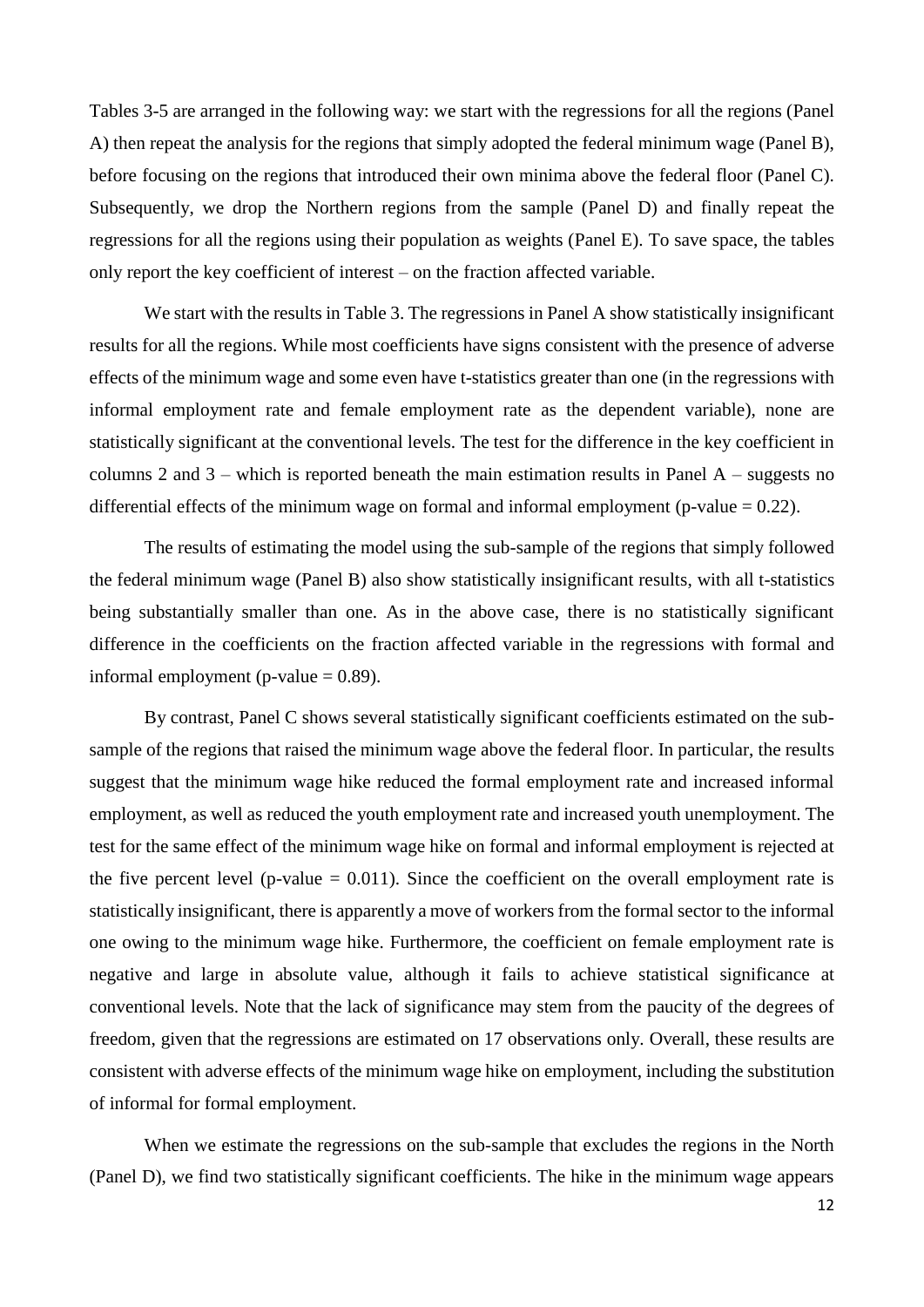Tables 3-5 are arranged in the following way: we start with the regressions for all the regions (Panel A) then repeat the analysis for the regions that simply adopted the federal minimum wage (Panel B), before focusing on the regions that introduced their own minima above the federal floor (Panel C). Subsequently, we drop the Northern regions from the sample (Panel D) and finally repeat the regressions for all the regions using their population as weights (Panel E). To save space, the tables only report the key coefficient of interest – on the fraction affected variable.

We start with the results in Table 3. The regressions in Panel A show statistically insignificant results for all the regions. While most coefficients have signs consistent with the presence of adverse effects of the minimum wage and some even have t-statistics greater than one (in the regressions with informal employment rate and female employment rate as the dependent variable), none are statistically significant at the conventional levels. The test for the difference in the key coefficient in columns 2 and  $3$  – which is reported beneath the main estimation results in Panel A – suggests no differential effects of the minimum wage on formal and informal employment (p-value  $= 0.22$ ).

The results of estimating the model using the sub-sample of the regions that simply followed the federal minimum wage (Panel B) also show statistically insignificant results, with all t-statistics being substantially smaller than one. As in the above case, there is no statistically significant difference in the coefficients on the fraction affected variable in the regressions with formal and informal employment (p-value  $= 0.89$ ).

By contrast, Panel C shows several statistically significant coefficients estimated on the subsample of the regions that raised the minimum wage above the federal floor. In particular, the results suggest that the minimum wage hike reduced the formal employment rate and increased informal employment, as well as reduced the youth employment rate and increased youth unemployment. The test for the same effect of the minimum wage hike on formal and informal employment is rejected at the five percent level (p-value  $= 0.011$ ). Since the coefficient on the overall employment rate is statistically insignificant, there is apparently a move of workers from the formal sector to the informal one owing to the minimum wage hike. Furthermore, the coefficient on female employment rate is negative and large in absolute value, although it fails to achieve statistical significance at conventional levels. Note that the lack of significance may stem from the paucity of the degrees of freedom, given that the regressions are estimated on 17 observations only. Overall, these results are consistent with adverse effects of the minimum wage hike on employment, including the substitution of informal for formal employment.

When we estimate the regressions on the sub-sample that excludes the regions in the North (Panel D), we find two statistically significant coefficients. The hike in the minimum wage appears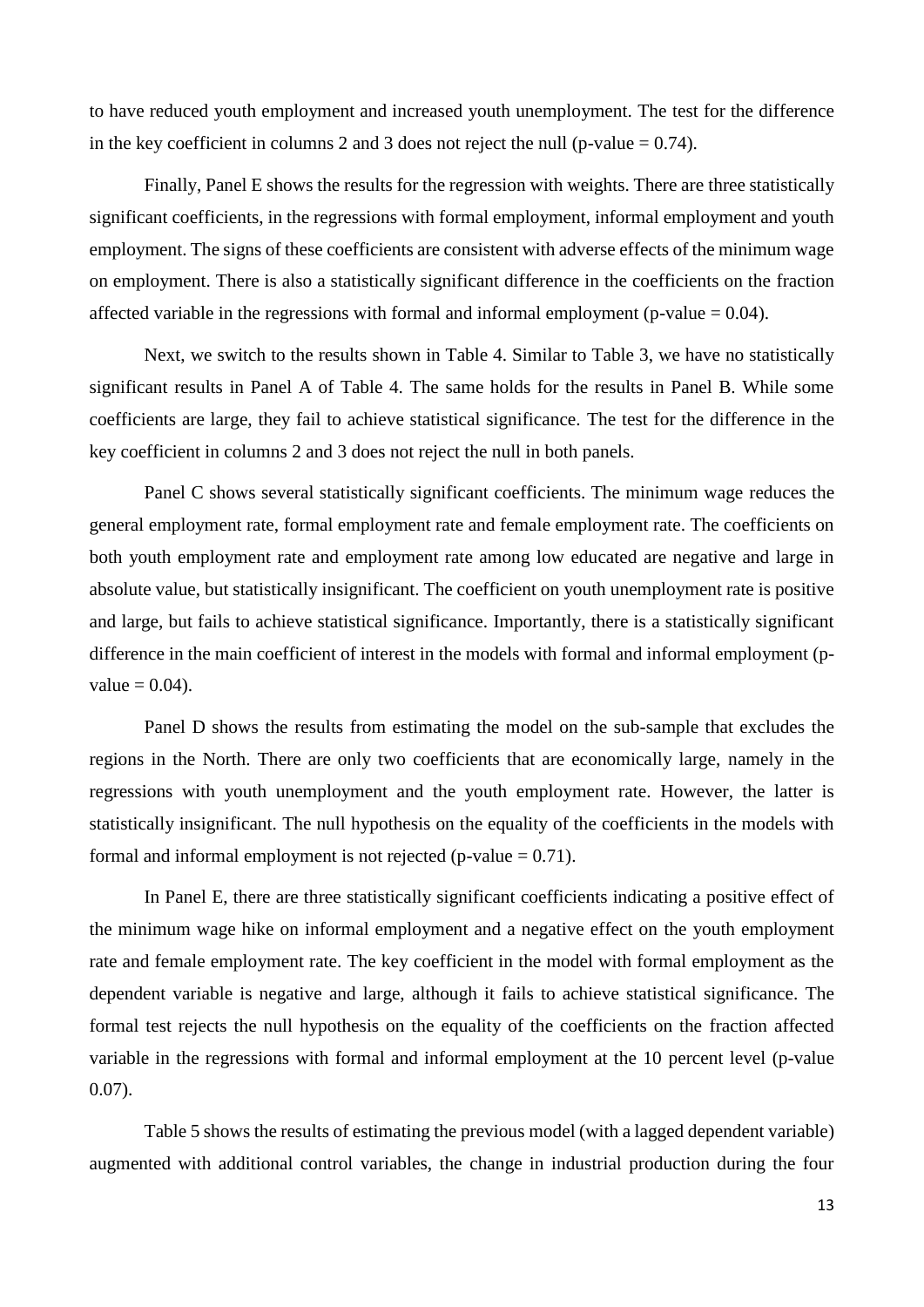to have reduced youth employment and increased youth unemployment. The test for the difference in the key coefficient in columns 2 and 3 does not reject the null (p-value  $= 0.74$ ).

Finally, Panel E shows the results for the regression with weights. There are three statistically significant coefficients, in the regressions with formal employment, informal employment and youth employment. The signs of these coefficients are consistent with adverse effects of the minimum wage on employment. There is also a statistically significant difference in the coefficients on the fraction affected variable in the regressions with formal and informal employment (p-value  $= 0.04$ ).

Next, we switch to the results shown in Table 4. Similar to Table 3, we have no statistically significant results in Panel A of Table 4. The same holds for the results in Panel B. While some coefficients are large, they fail to achieve statistical significance. The test for the difference in the key coefficient in columns 2 and 3 does not reject the null in both panels.

Panel C shows several statistically significant coefficients. The minimum wage reduces the general employment rate, formal employment rate and female employment rate. The coefficients on both youth employment rate and employment rate among low educated are negative and large in absolute value, but statistically insignificant. The coefficient on youth unemployment rate is positive and large, but fails to achieve statistical significance. Importantly, there is a statistically significant difference in the main coefficient of interest in the models with formal and informal employment (pvalue  $= 0.04$ ).

Panel D shows the results from estimating the model on the sub-sample that excludes the regions in the North. There are only two coefficients that are economically large, namely in the regressions with youth unemployment and the youth employment rate. However, the latter is statistically insignificant. The null hypothesis on the equality of the coefficients in the models with formal and informal employment is not rejected ( $p$ -value = 0.71).

In Panel E, there are three statistically significant coefficients indicating a positive effect of the minimum wage hike on informal employment and a negative effect on the youth employment rate and female employment rate. The key coefficient in the model with formal employment as the dependent variable is negative and large, although it fails to achieve statistical significance. The formal test rejects the null hypothesis on the equality of the coefficients on the fraction affected variable in the regressions with formal and informal employment at the 10 percent level (p-value 0.07).

Table 5 shows the results of estimating the previous model (with a lagged dependent variable) augmented with additional control variables, the change in industrial production during the four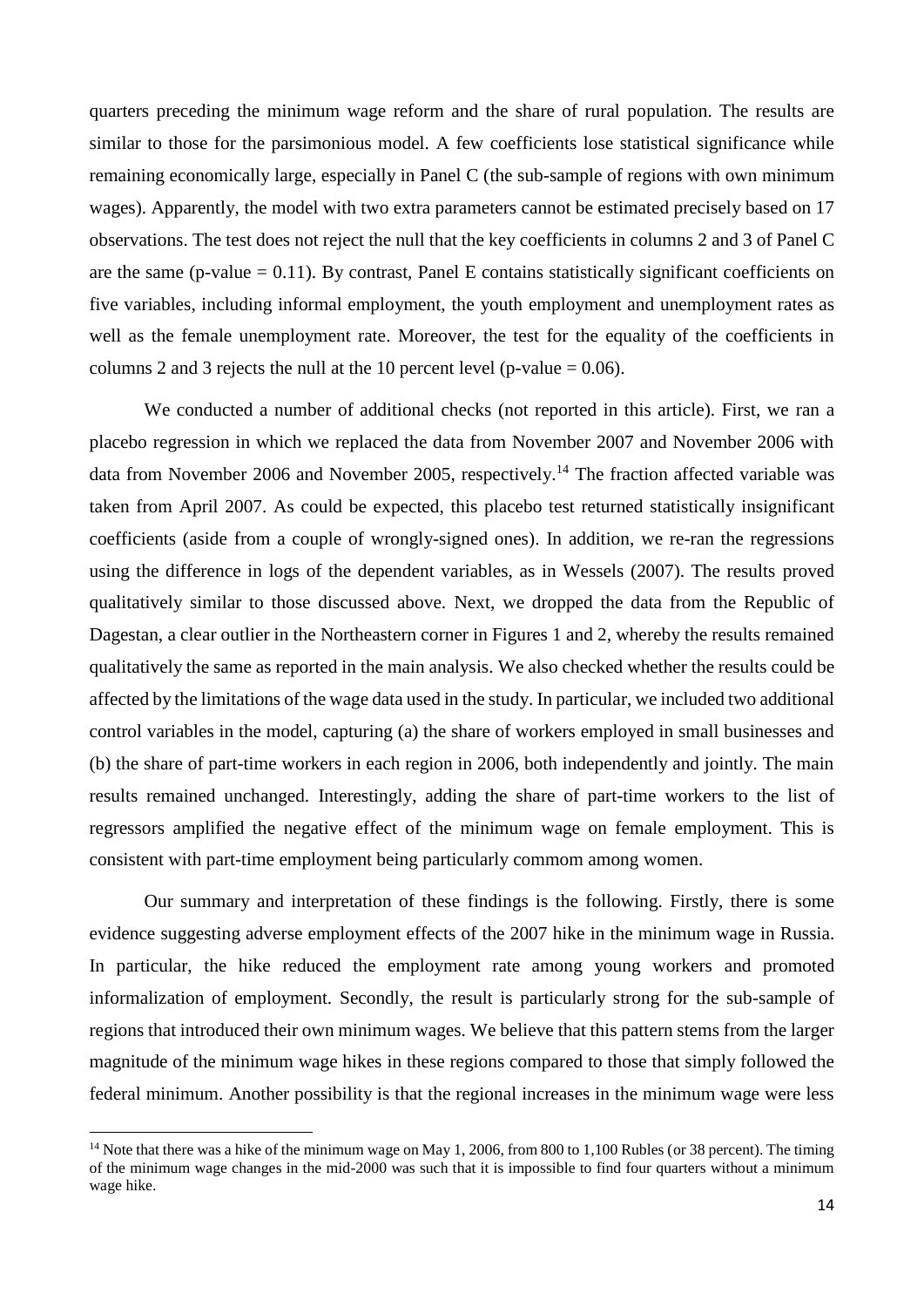quarters preceding the minimum wage reform and the share of rural population. The results are similar to those for the parsimonious model. A few coefficients lose statistical significance while remaining economically large, especially in Panel C (the sub-sample of regions with own minimum wages). Apparently, the model with two extra parameters cannot be estimated precisely based on 17 observations. The test does not reject the null that the key coefficients in columns 2 and 3 of Panel C are the same (p-value  $= 0.11$ ). By contrast, Panel E contains statistically significant coefficients on five variables, including informal employment, the youth employment and unemployment rates as well as the female unemployment rate. Moreover, the test for the equality of the coefficients in columns 2 and 3 rejects the null at the 10 percent level (p-value  $= 0.06$ ).

We conducted a number of additional checks (not reported in this article). First, we ran a placebo regression in which we replaced the data from November 2007 and November 2006 with data from November 2006 and November 2005, respectively.<sup>14</sup> The fraction affected variable was taken from April 2007. As could be expected, this placebo test returned statistically insignificant coefficients (aside from a couple of wrongly-signed ones). In addition, we re-ran the regressions using the difference in logs of the dependent variables, as in Wessels (2007). The results proved qualitatively similar to those discussed above. Next, we dropped the data from the Republic of Dagestan, a clear outlier in the Northeastern corner in Figures 1 and 2, whereby the results remained qualitatively the same as reported in the main analysis. We also checked whether the results could be affected by the limitations of the wage data used in the study. In particular, we included two additional control variables in the model, capturing (a) the share of workers employed in small businesses and (b) the share of part-time workers in each region in 2006, both independently and jointly. The main results remained unchanged. Interestingly, adding the share of part-time workers to the list of regressors amplified the negative effect of the minimum wage on female employment. This is consistent with part-time employment being particularly commom among women.

Our summary and interpretation of these findings is the following. Firstly, there is some evidence suggesting adverse employment effects of the 2007 hike in the minimum wage in Russia. In particular, the hike reduced the employment rate among young workers and promoted informalization of employment. Secondly, the result is particularly strong for the sub-sample of regions that introduced their own minimum wages. We believe that this pattern stems from the larger magnitude of the minimum wage hikes in these regions compared to those that simply followed the federal minimum. Another possibility is that the regional increases in the minimum wage were less

<sup>&</sup>lt;sup>14</sup> Note that there was a hike of the minimum wage on May 1, 2006, from 800 to 1,100 Rubles (or 38 percent). The timing of the minimum wage changes in the mid-2000 was such that it is impossible to find four quarters without a minimum wage hike.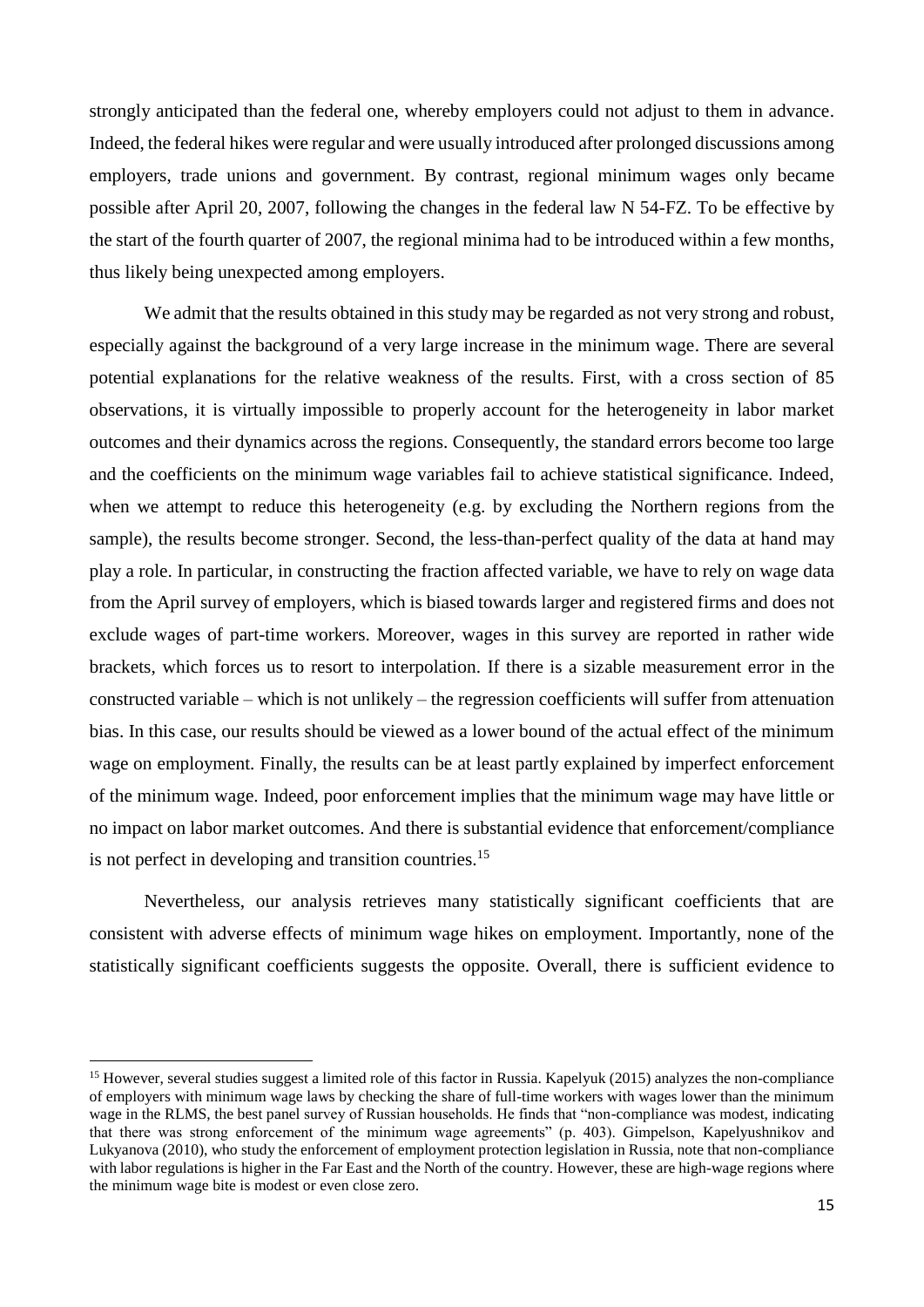strongly anticipated than the federal one, whereby employers could not adjust to them in advance. Indeed, the federal hikes were regular and were usually introduced after prolonged discussions among employers, trade unions and government. By contrast, regional minimum wages only became possible after April 20, 2007, following the changes in the federal law N 54-FZ. To be effective by the start of the fourth quarter of 2007, the regional minima had to be introduced within a few months, thus likely being unexpected among employers.

We admit that the results obtained in this study may be regarded as not very strong and robust, especially against the background of a very large increase in the minimum wage. There are several potential explanations for the relative weakness of the results. First, with a cross section of 85 observations, it is virtually impossible to properly account for the heterogeneity in labor market outcomes and their dynamics across the regions. Consequently, the standard errors become too large and the coefficients on the minimum wage variables fail to achieve statistical significance. Indeed, when we attempt to reduce this heterogeneity (e.g. by excluding the Northern regions from the sample), the results become stronger. Second, the less-than-perfect quality of the data at hand may play a role. In particular, in constructing the fraction affected variable, we have to rely on wage data from the April survey of employers, which is biased towards larger and registered firms and does not exclude wages of part-time workers. Moreover, wages in this survey are reported in rather wide brackets, which forces us to resort to interpolation. If there is a sizable measurement error in the constructed variable – which is not unlikely – the regression coefficients will suffer from attenuation bias. In this case, our results should be viewed as a lower bound of the actual effect of the minimum wage on employment. Finally, the results can be at least partly explained by imperfect enforcement of the minimum wage. Indeed, poor enforcement implies that the minimum wage may have little or no impact on labor market outcomes. And there is substantial evidence that enforcement/compliance is not perfect in developing and transition countries.<sup>15</sup>

Nevertheless, our analysis retrieves many statistically significant coefficients that are consistent with adverse effects of minimum wage hikes on employment. Importantly, none of the statistically significant coefficients suggests the opposite. Overall, there is sufficient evidence to

<sup>&</sup>lt;sup>15</sup> However, several studies suggest a limited role of this factor in Russia. Kapelyuk (2015) analyzes the non-compliance of employers with minimum wage laws by checking the share of full-time workers with wages lower than the minimum wage in the RLMS, the best panel survey of Russian households. He finds that "non-compliance was modest, indicating that there was strong enforcement of the minimum wage agreements" (p. 403). Gimpelson, Kapelyushnikov and Lukyanova (2010), who study the enforcement of employment protection legislation in Russia, note that non-compliance with labor regulations is higher in the Far East and the North of the country. However, these are high-wage regions where the minimum wage bite is modest or even close zero.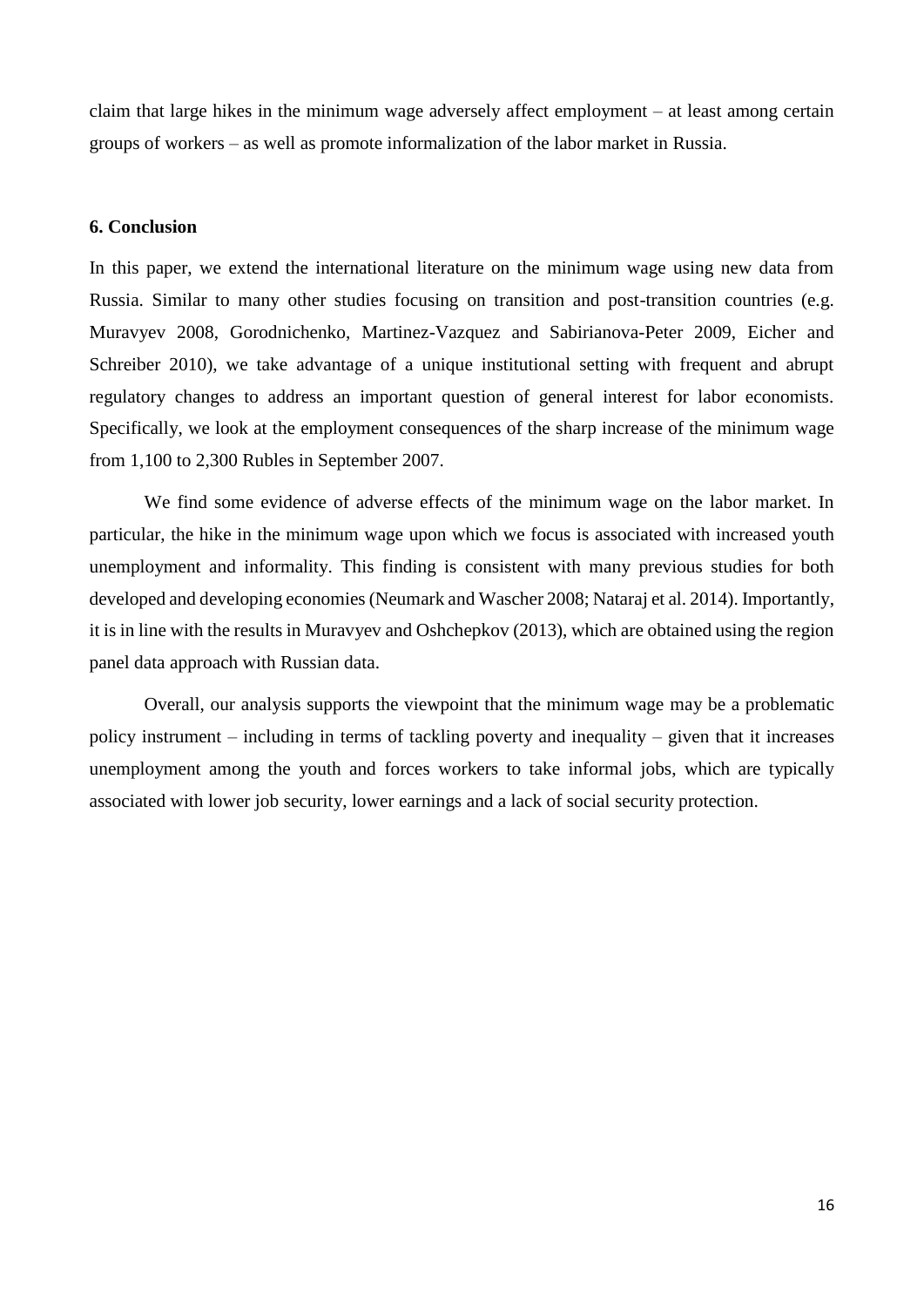claim that large hikes in the minimum wage adversely affect employment – at least among certain groups of workers – as well as promote informalization of the labor market in Russia.

#### **6. Conclusion**

In this paper, we extend the international literature on the minimum wage using new data from Russia. Similar to many other studies focusing on transition and post-transition countries (e.g. Muravyev 2008, Gorodnichenko, Martinez-Vazquez and Sabirianova-Peter 2009, Eicher and Schreiber 2010), we take advantage of a unique institutional setting with frequent and abrupt regulatory changes to address an important question of general interest for labor economists. Specifically, we look at the employment consequences of the sharp increase of the minimum wage from 1,100 to 2,300 Rubles in September 2007.

We find some evidence of adverse effects of the minimum wage on the labor market. In particular, the hike in the minimum wage upon which we focus is associated with increased youth unemployment and informality. This finding is consistent with many previous studies for both developed and developing economies (Neumark and Wascher 2008; Nataraj et al. 2014). Importantly, it is in line with the results in Muravyev and Oshchepkov (2013), which are obtained using the region panel data approach with Russian data.

Overall, our analysis supports the viewpoint that the minimum wage may be a problematic policy instrument – including in terms of tackling poverty and inequality – given that it increases unemployment among the youth and forces workers to take informal jobs, which are typically associated with lower job security, lower earnings and a lack of social security protection.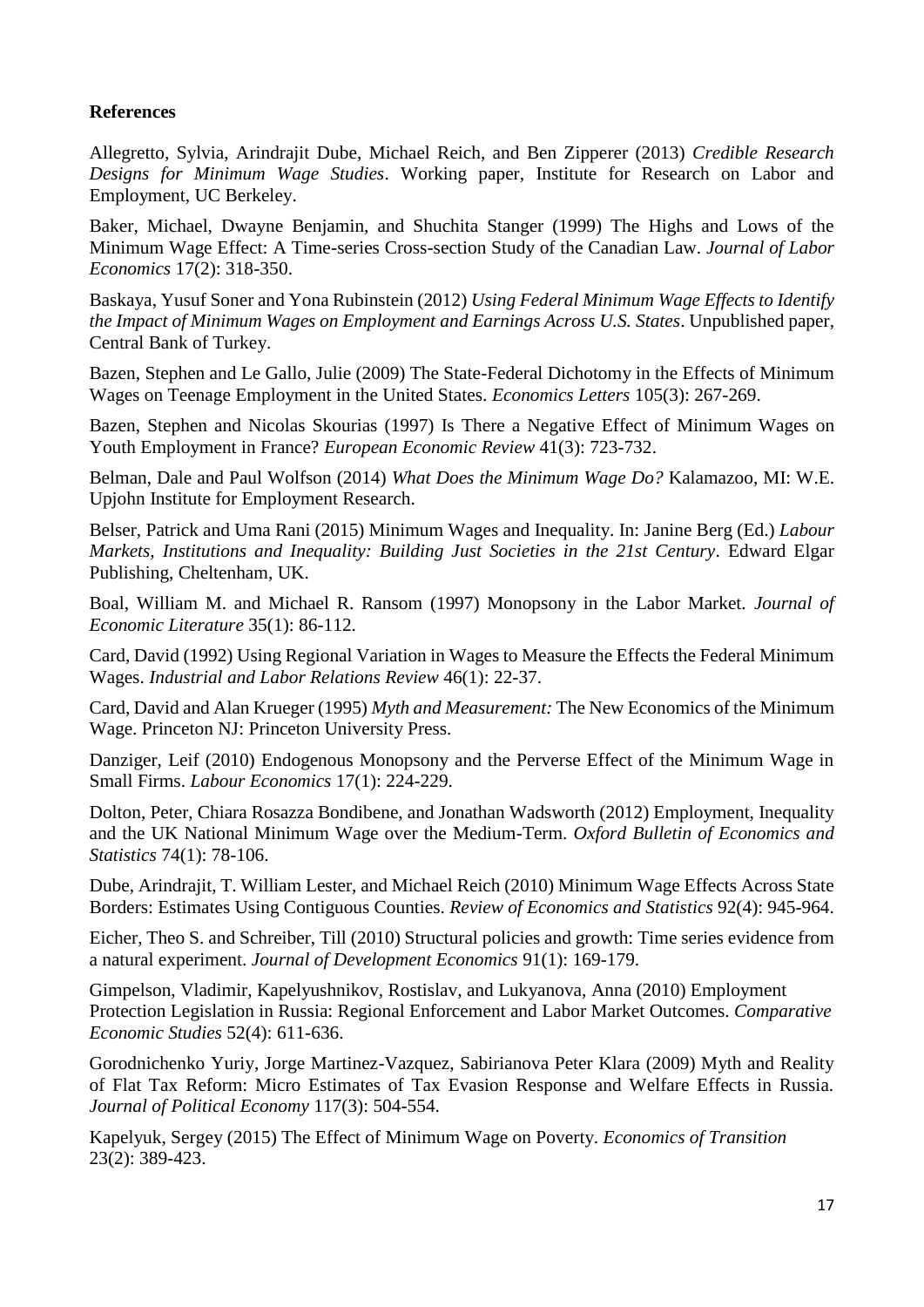#### **References**

Allegretto, Sylvia, Arindrajit Dube, Michael Reich, and Ben Zipperer (2013) *Credible Research Designs for Minimum Wage Studies*. Working paper, Institute for Research on Labor and Employment, UC Berkeley.

Baker, Michael, Dwayne Benjamin, and Shuchita Stanger (1999) The Highs and Lows of the Minimum Wage Effect: A Time-series Cross-section Study of the Canadian Law. *Journal of Labor Economics* 17(2): 318-350.

Baskaya, Yusuf Soner and Yona Rubinstein (2012) *Using Federal Minimum Wage Effects to Identify the Impact of Minimum Wages on Employment and Earnings Across U.S. States*. Unpublished paper, Central Bank of Turkey.

Bazen, Stephen and Le Gallo, Julie (2009) The State-Federal Dichotomy in the Effects of Minimum Wages on Teenage Employment in the United States. *Economics Letters* 105(3): 267-269.

Bazen, Stephen and Nicolas Skourias (1997) Is There a Negative Effect of Minimum Wages on Youth Employment in France? *European Economic Review* 41(3): 723-732.

Belman, Dale and Paul Wolfson (2014) *What Does the Minimum Wage Do?* Kalamazoo, MI: W.E. Upjohn Institute for Employment Research.

Belser, Patrick and Uma Rani (2015) Minimum Wages and Inequality. In: Janine Berg (Ed.) *Labour Markets, Institutions and Inequality: Building Just Societies in the 21st Century*. Edward Elgar Publishing, Cheltenham, UK.

Boal, William M. and Michael R. Ransom (1997) Monopsony in the Labor Market. *Journal of Economic Literature* 35(1): 86-112.

Card, David (1992) Using Regional Variation in Wages to Measure the Effects the Federal Minimum Wages. *Industrial and Labor Relations Review* 46(1): 22-37.

Card, David and Alan Krueger (1995) *Myth and Measurement:* The New Economics of the Minimum Wage. Princeton NJ: Princeton University Press.

Danziger, Leif (2010) Endogenous Monopsony and the Perverse Effect of the Minimum Wage in Small Firms. *Labour Economics* 17(1): 224-229.

Dolton, Peter, Chiara Rosazza Bondibene, and Jonathan Wadsworth (2012) Employment, Inequality and the UK National Minimum Wage over the Medium-Term. *Oxford Bulletin of Economics and Statistics* 74(1): 78-106.

Dube, Arindrajit, T. William Lester, and Michael Reich (2010) Minimum Wage Effects Across State Borders: Estimates Using Contiguous Counties. *Review of Economics and Statistics* 92(4): 945-964.

Eicher, Theo S. and Schreiber, Till (2010) Structural policies and growth: Time series evidence from a natural experiment. *Journal of Development Economics* 91(1): 169-179.

Gimpelson, Vladimir, Kapelyushnikov, Rostislav, and Lukyanova, Anna (2010) Employment Protection Legislation in Russia: Regional Enforcement and Labor Market Outcomes. *Comparative Economic Studies* 52(4): 611-636.

Gorodnichenko Yuriy, Jorge Martinez-Vazquez, Sabirianova Peter Klara (2009) Myth and Reality of Flat Tax Reform: Micro Estimates of Tax Evasion Response and Welfare Effects in Russia. *Journal of Political Economy* 117(3): 504-554.

Kapelyuk, Sergey (2015) The Effect of Minimum Wage on Poverty. *Economics of Transition* 23(2): 389-423.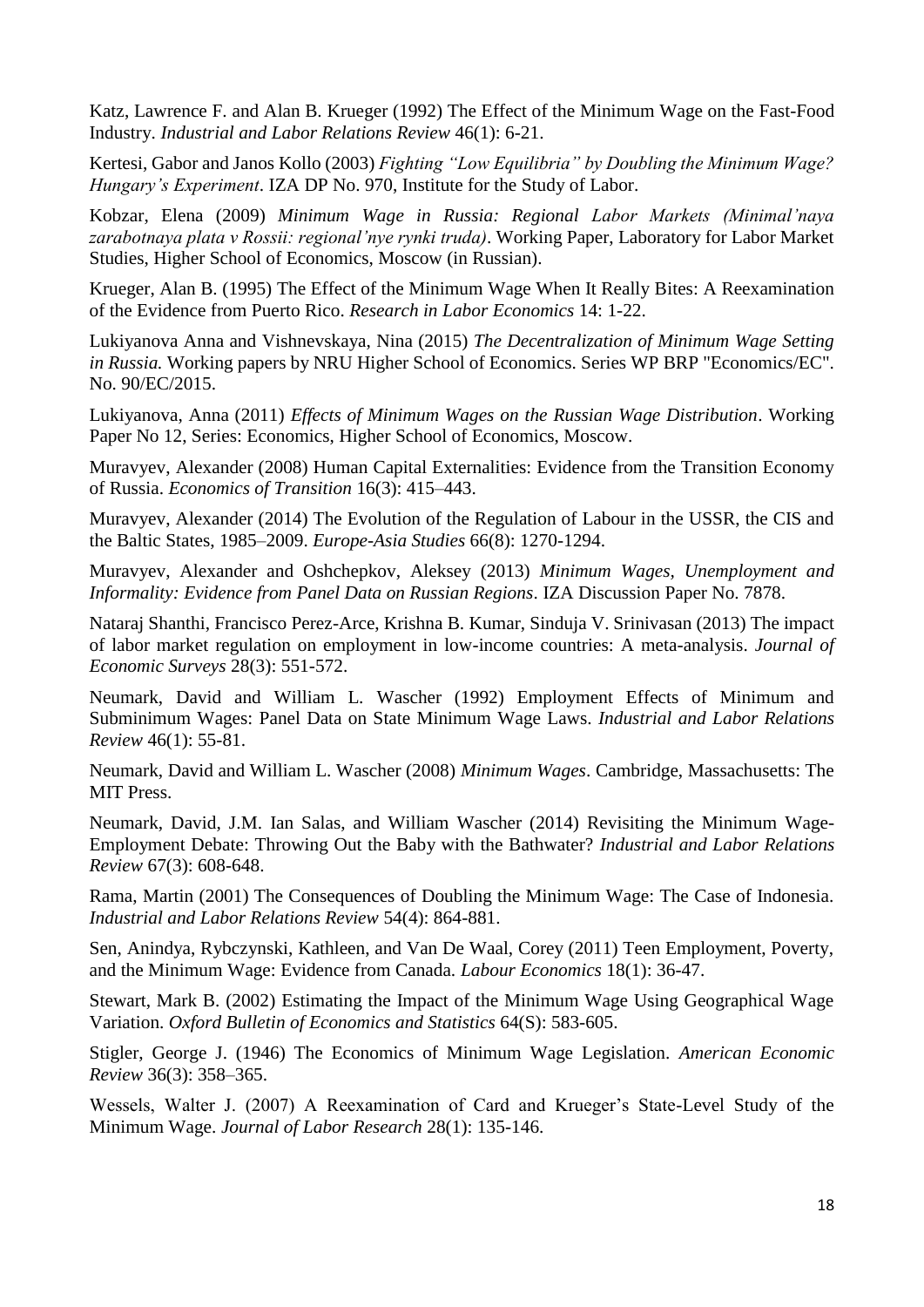Katz, Lawrence F. and Alan B. Krueger (1992) The Effect of the Minimum Wage on the Fast-Food Industry. *Industrial and Labor Relations Review* 46(1): 6-21.

Kertesi, Gabor and Janos Kollo (2003) *Fighting "Low Equilibria" by Doubling the Minimum Wage? Hungary's Experiment*. IZA DP No. 970, Institute for the Study of Labor.

Kobzar, Elena (2009) *Minimum Wage in Russia: Regional Labor Markets (Minimal'naya zarabotnaya plata v Rossii: regional'nye rynki truda)*. Working Paper, Laboratory for Labor Market Studies, Higher School of Economics, Moscow (in Russian).

Krueger, Alan B. (1995) The Effect of the Minimum Wage When It Really Bites: A Reexamination of the Evidence from Puerto Rico. *Research in Labor Economics* 14: 1-22.

Lukiyanova Anna and Vishnevskaya, Nina (2015) *The Decentralization of Minimum Wage Setting in Russia.* Working papers by NRU Higher School of Economics. Series WP BRP "Economics/EC". No. 90/EC/2015.

Lukiyanova, Anna (2011) *Effects of Minimum Wages on the Russian Wage Distribution*. Working Paper No 12, Series: Economics, Higher School of Economics, Moscow.

Muravyev, Alexander (2008) Human Capital Externalities: Evidence from the Transition Economy of Russia. *Economics of Transition* 16(3): 415–443.

Muravyev, Alexander (2014) The Evolution of the Regulation of Labour in the USSR, the CIS and the Baltic States, 1985–2009. *Europe-Asia Studies* 66(8): 1270-1294.

Muravyev, Alexander and Oshchepkov, Aleksey (2013) *Minimum Wages, Unemployment and Informality: Evidence from Panel Data on Russian Regions*. IZA Discussion Paper No. 7878.

Nataraj Shanthi, Francisco Perez-Arce, Krishna B. Kumar, Sinduja V. Srinivasan (2013) The impact of labor market regulation on employment in low-income countries: A meta-analysis. *Journal of Economic Surveys* 28(3): 551-572.

Neumark, David and William L. Wascher (1992) Employment Effects of Minimum and Subminimum Wages: Panel Data on State Minimum Wage Laws. *Industrial and Labor Relations Review* 46(1): 55-81.

Neumark, David and William L. Wascher (2008) *Minimum Wages*. Cambridge, Massachusetts: The MIT Press.

Neumark, David, J.M. Ian Salas, and William Wascher (2014) Revisiting the Minimum Wage-Employment Debate: Throwing Out the Baby with the Bathwater? *Industrial and Labor Relations Review* 67(3): 608-648.

Rama, Martin (2001) The Consequences of Doubling the Minimum Wage: The Case of Indonesia. *Industrial and Labor Relations Review* 54(4): 864-881.

Sen, Anindya, Rybczynski, Kathleen, and Van De Waal, Corey (2011) Teen Employment, Poverty, and the Minimum Wage: Evidence from Canada. *Labour Economics* 18(1): 36-47.

Stewart, Mark B. (2002) Estimating the Impact of the Minimum Wage Using Geographical Wage Variation. *Oxford Bulletin of Economics and Statistics* 64(S): 583-605.

Stigler, George J. (1946) The Economics of Minimum Wage Legislation. *American Economic Review* 36(3): 358–365.

Wessels, Walter J. (2007) A Reexamination of Card and Krueger's State-Level Study of the Minimum Wage. *Journal of Labor Research* 28(1): 135-146.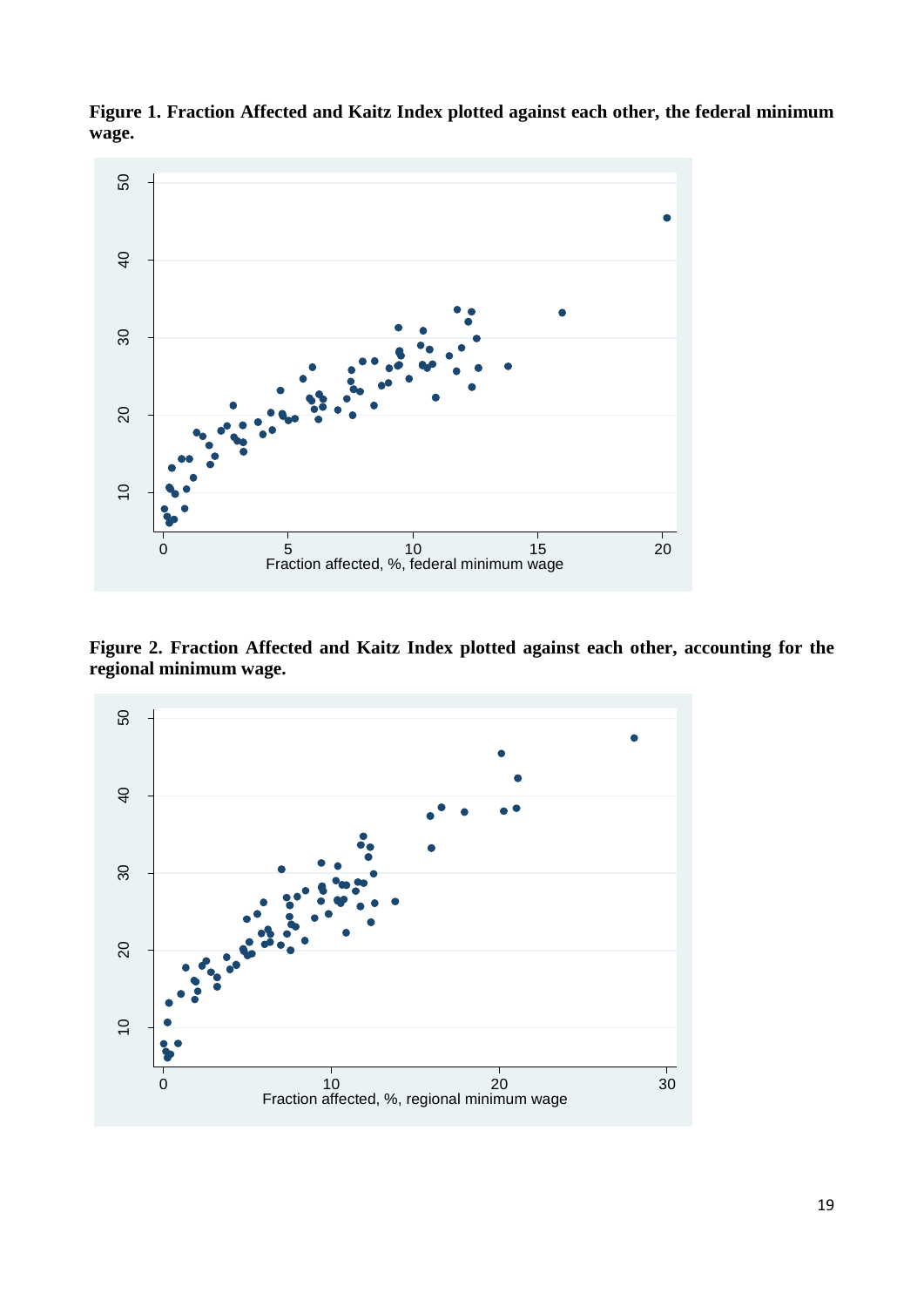

**Figure 1. Fraction Affected and Kaitz Index plotted against each other, the federal minimum wage.**

**Figure 2. Fraction Affected and Kaitz Index plotted against each other, accounting for the regional minimum wage.**

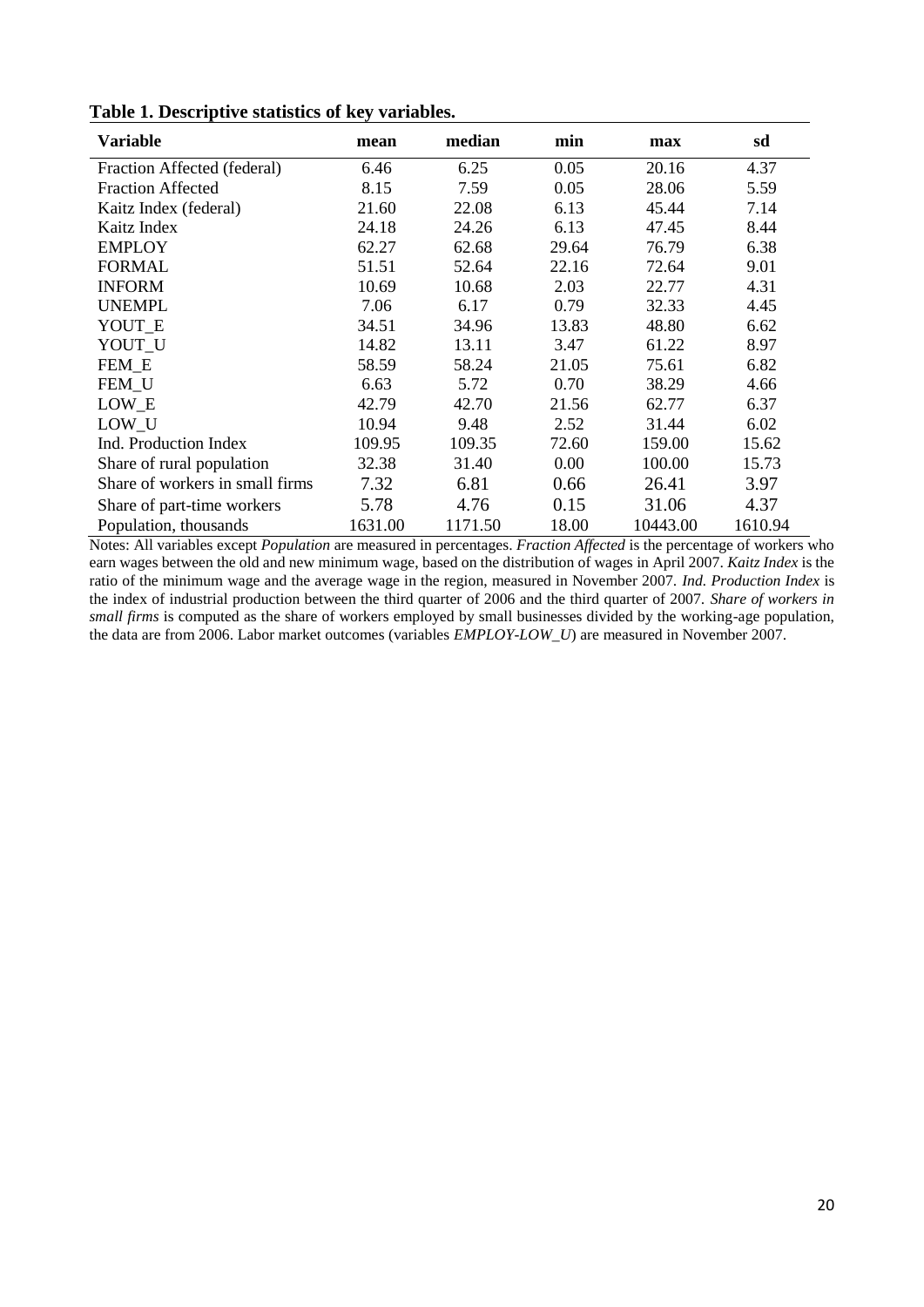| <b>Variable</b>                 | mean    | median  | min   | max      | sd      |
|---------------------------------|---------|---------|-------|----------|---------|
| Fraction Affected (federal)     | 6.46    | 6.25    | 0.05  | 20.16    | 4.37    |
| <b>Fraction Affected</b>        | 8.15    | 7.59    | 0.05  | 28.06    | 5.59    |
| Kaitz Index (federal)           | 21.60   | 22.08   | 6.13  | 45.44    | 7.14    |
| Kaitz Index                     | 24.18   | 24.26   | 6.13  | 47.45    | 8.44    |
| <b>EMPLOY</b>                   | 62.27   | 62.68   | 29.64 | 76.79    | 6.38    |
| <b>FORMAL</b>                   | 51.51   | 52.64   | 22.16 | 72.64    | 9.01    |
| <b>INFORM</b>                   | 10.69   | 10.68   | 2.03  | 22.77    | 4.31    |
| <b>UNEMPL</b>                   | 7.06    | 6.17    | 0.79  | 32.33    | 4.45    |
| YOUT E                          | 34.51   | 34.96   | 13.83 | 48.80    | 6.62    |
| YOUT_U                          | 14.82   | 13.11   | 3.47  | 61.22    | 8.97    |
| FEM E                           | 58.59   | 58.24   | 21.05 | 75.61    | 6.82    |
| FEM_U                           | 6.63    | 5.72    | 0.70  | 38.29    | 4.66    |
| LOW_E                           | 42.79   | 42.70   | 21.56 | 62.77    | 6.37    |
| LOW_U                           | 10.94   | 9.48    | 2.52  | 31.44    | 6.02    |
| Ind. Production Index           | 109.95  | 109.35  | 72.60 | 159.00   | 15.62   |
| Share of rural population       | 32.38   | 31.40   | 0.00  | 100.00   | 15.73   |
| Share of workers in small firms | 7.32    | 6.81    | 0.66  | 26.41    | 3.97    |
| Share of part-time workers      | 5.78    | 4.76    | 0.15  | 31.06    | 4.37    |
| Population, thousands           | 1631.00 | 1171.50 | 18.00 | 10443.00 | 1610.94 |

**Table 1. Descriptive statistics of key variables.**

Notes: All variables except *Population* are measured in percentages. *Fraction Affected* is the percentage of workers who earn wages between the old and new minimum wage, based on the distribution of wages in April 2007. *Kaitz Index* is the ratio of the minimum wage and the average wage in the region, measured in November 2007. *Ind. Production Index* is the index of industrial production between the third quarter of 2006 and the third quarter of 2007. *Share of workers in small firms* is computed as the share of workers employed by small businesses divided by the working-age population, the data are from 2006. Labor market outcomes (variables *EMPLOY*-*LOW\_U*) are measured in November 2007.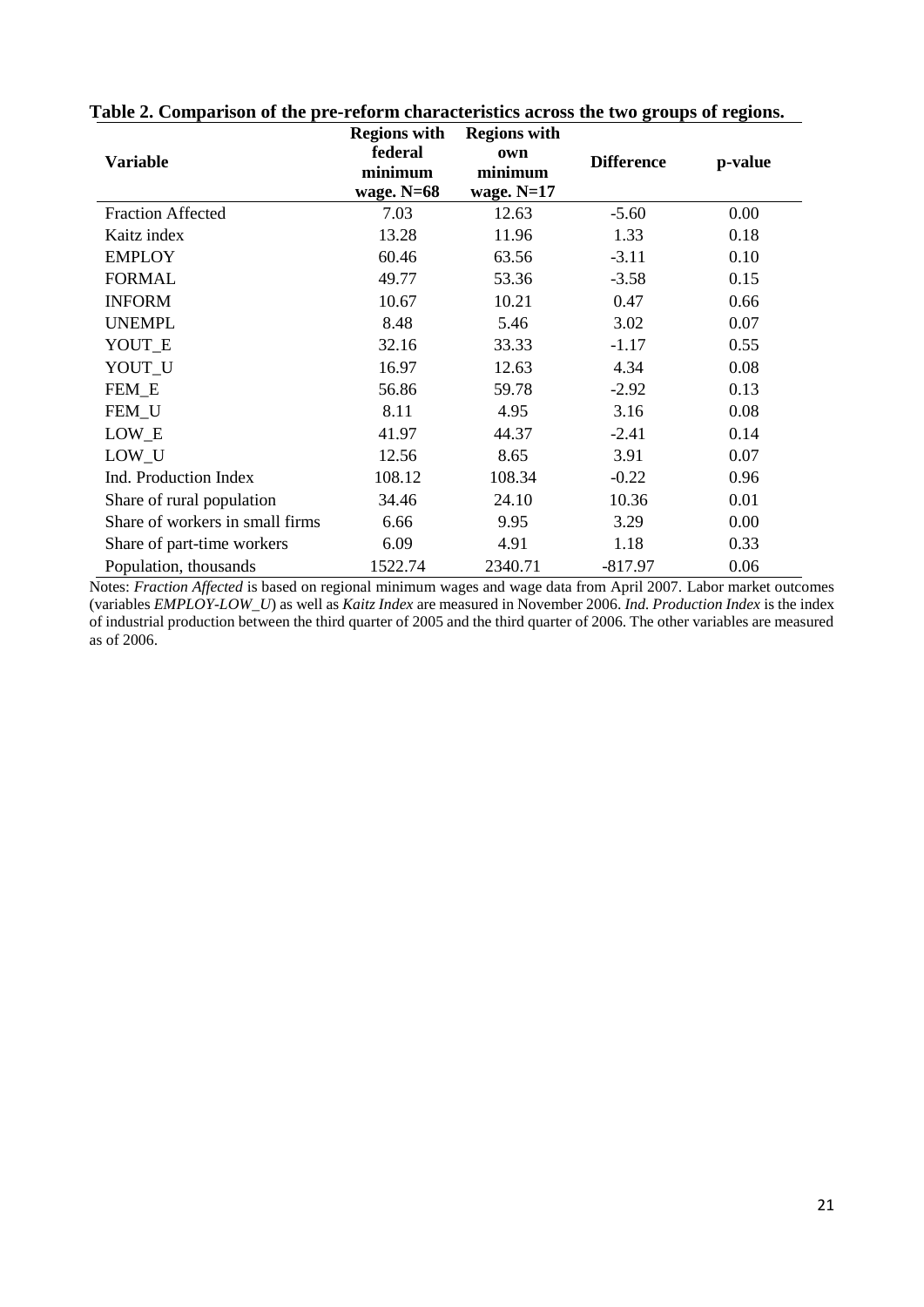| Variable                        | <b>Regions with</b><br>federal<br>minimum<br>wage. $N=68$ | <b>Regions with</b><br>own<br>minimum<br>wage. $N=17$ | <b>Difference</b> | p-value |  |
|---------------------------------|-----------------------------------------------------------|-------------------------------------------------------|-------------------|---------|--|
| <b>Fraction Affected</b>        | 7.03                                                      | 12.63                                                 | $-5.60$           | 0.00    |  |
| Kaitz index                     | 13.28                                                     | 11.96                                                 | 1.33              | 0.18    |  |
| <b>EMPLOY</b>                   | 60.46                                                     | 63.56                                                 | $-3.11$           | 0.10    |  |
| <b>FORMAL</b>                   | 49.77                                                     | 53.36                                                 | $-3.58$           | 0.15    |  |
| <b>INFORM</b>                   | 10.67                                                     | 10.21                                                 | 0.47              | 0.66    |  |
| <b>UNEMPL</b>                   | 8.48                                                      | 5.46                                                  | 3.02              | 0.07    |  |
| YOUT_E                          | 32.16                                                     | 33.33                                                 | $-1.17$           | 0.55    |  |
| YOUT_U                          | 16.97                                                     | 12.63                                                 | 4.34              | 0.08    |  |
| FEM_E                           | 56.86                                                     | 59.78                                                 | $-2.92$           | 0.13    |  |
| FEM_U                           | 8.11                                                      | 4.95                                                  | 3.16              | 0.08    |  |
| LOW_E                           | 41.97                                                     | 44.37                                                 | $-2.41$           | 0.14    |  |
| LOW_U                           | 12.56                                                     | 8.65                                                  | 3.91              | 0.07    |  |
| Ind. Production Index           | 108.12                                                    | 108.34                                                | $-0.22$           | 0.96    |  |
| Share of rural population       | 34.46                                                     | 24.10                                                 | 10.36             | 0.01    |  |
| Share of workers in small firms | 6.66                                                      | 9.95                                                  | 3.29              | 0.00    |  |
| Share of part-time workers      | 6.09                                                      | 4.91                                                  | 1.18              | 0.33    |  |
| Population, thousands           | 1522.74                                                   | 2340.71                                               | $-817.97$         | 0.06    |  |

**Table 2. Comparison of the pre-reform characteristics across the two groups of regions.**

Notes: *Fraction Affected* is based on regional minimum wages and wage data from April 2007. Labor market outcomes (variables *EMPLOY*-*LOW\_U*) as well as *Kaitz Index* are measured in November 2006. *Ind. Production Index* is the index of industrial production between the third quarter of 2005 and the third quarter of 2006. The other variables are measured as of 2006.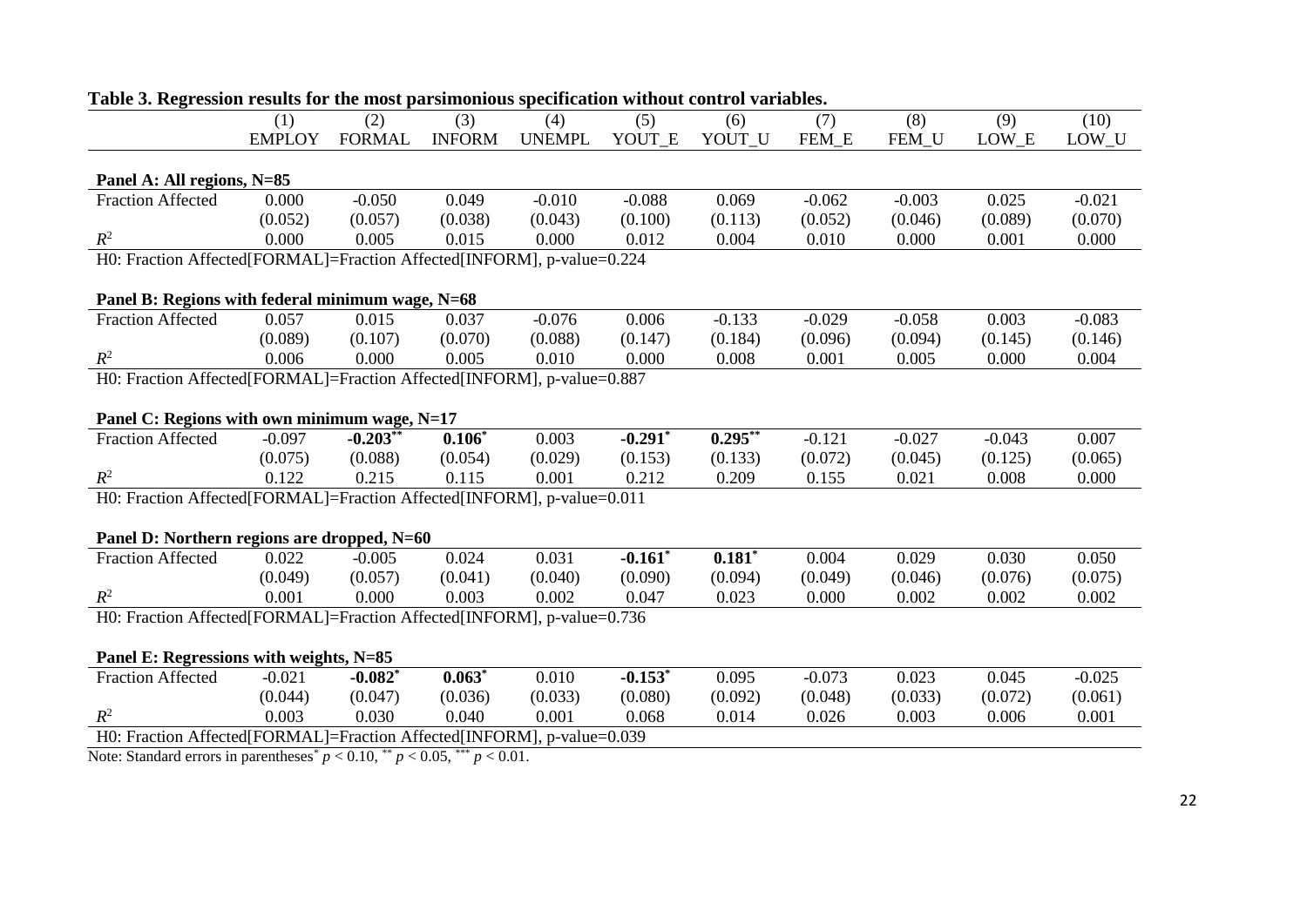|                                                                          | святи гевиня тог тис тож рагвинонося вресителной мниот соп<br>(1) | (2)           | (3)           | (4)           | (5)        | (6)        | (7)      | (8)      | (9)      | (10)     |
|--------------------------------------------------------------------------|-------------------------------------------------------------------|---------------|---------------|---------------|------------|------------|----------|----------|----------|----------|
|                                                                          | <b>EMPLOY</b>                                                     | <b>FORMAL</b> | <b>INFORM</b> | <b>UNEMPL</b> | YOUT E     | YOUT U     | FEM_E    | FEM U    | LOW E    | LOW_U    |
|                                                                          |                                                                   |               |               |               |            |            |          |          |          |          |
| Panel A: All regions, N=85                                               |                                                                   |               |               |               |            |            |          |          |          |          |
| <b>Fraction Affected</b>                                                 | 0.000                                                             | $-0.050$      | 0.049         | $-0.010$      | $-0.088$   | 0.069      | $-0.062$ | $-0.003$ | 0.025    | $-0.021$ |
|                                                                          | (0.052)                                                           | (0.057)       | (0.038)       | (0.043)       | (0.100)    | (0.113)    | (0.052)  | (0.046)  | (0.089)  | (0.070)  |
| $R^2$                                                                    | 0.000                                                             | 0.005         | 0.015         | 0.000         | 0.012      | 0.004      | 0.010    | 0.000    | 0.001    | 0.000    |
| H0: Fraction Affected [FORMAL]=Fraction Affected [INFORM], p-value=0.224 |                                                                   |               |               |               |            |            |          |          |          |          |
|                                                                          |                                                                   |               |               |               |            |            |          |          |          |          |
| Panel B: Regions with federal minimum wage, N=68                         |                                                                   |               |               |               |            |            |          |          |          |          |
| <b>Fraction Affected</b>                                                 | 0.057                                                             | 0.015         | 0.037         | $-0.076$      | 0.006      | $-0.133$   | $-0.029$ | $-0.058$ | 0.003    | $-0.083$ |
|                                                                          | (0.089)                                                           | (0.107)       | (0.070)       | (0.088)       | (0.147)    | (0.184)    | (0.096)  | (0.094)  | (0.145)  | (0.146)  |
| $R^2$                                                                    | 0.006                                                             | 0.000         | 0.005         | 0.010         | 0.000      | 0.008      | 0.001    | 0.005    | 0.000    | 0.004    |
| H0: Fraction Affected[FORMAL]=Fraction Affected[INFORM], p-value=0.887   |                                                                   |               |               |               |            |            |          |          |          |          |
|                                                                          |                                                                   |               |               |               |            |            |          |          |          |          |
| Panel C: Regions with own minimum wage, N=17                             |                                                                   |               |               |               |            |            |          |          |          |          |
| <b>Fraction Affected</b>                                                 | $-0.097$                                                          | $-0.203**$    | $0.106*$      | 0.003         | $-0.291$ * | $0.295***$ | $-0.121$ | $-0.027$ | $-0.043$ | 0.007    |
|                                                                          | (0.075)                                                           | (0.088)       | (0.054)       | (0.029)       | (0.153)    | (0.133)    | (0.072)  | (0.045)  | (0.125)  | (0.065)  |
| $R^2$                                                                    | 0.122                                                             | 0.215         | 0.115         | 0.001         | 0.212      | 0.209      | 0.155    | 0.021    | 0.008    | 0.000    |
| H0: Fraction Affected[FORMAL]=Fraction Affected[INFORM], p-value=0.011   |                                                                   |               |               |               |            |            |          |          |          |          |
|                                                                          |                                                                   |               |               |               |            |            |          |          |          |          |
| Panel D: Northern regions are dropped, N=60                              |                                                                   |               |               |               |            |            |          |          |          |          |
| <b>Fraction Affected</b>                                                 | 0.022                                                             | $-0.005$      | 0.024         | 0.031         | $-0.161$ * | $0.181*$   | 0.004    | 0.029    | 0.030    | 0.050    |
|                                                                          | (0.049)                                                           | (0.057)       | (0.041)       | (0.040)       | (0.090)    | (0.094)    | (0.049)  | (0.046)  | (0.076)  | (0.075)  |
| $R^2$                                                                    | 0.001                                                             | 0.000         | 0.003         | 0.002         | 0.047      | 0.023      | 0.000    | 0.002    | 0.002    | 0.002    |
| H0: Fraction Affected [FORMAL]=Fraction Affected [INFORM], p-value=0.736 |                                                                   |               |               |               |            |            |          |          |          |          |
|                                                                          |                                                                   |               |               |               |            |            |          |          |          |          |
| Panel E: Regressions with weights, N=85                                  |                                                                   |               |               |               |            |            |          |          |          |          |
| <b>Fraction Affected</b>                                                 | $-0.021$                                                          | $-0.082$ *    | $0.063*$      | 0.010         | $-0.153$ * | 0.095      | $-0.073$ | 0.023    | 0.045    | $-0.025$ |
|                                                                          | (0.044)                                                           | (0.047)       | (0.036)       | (0.033)       | (0.080)    | (0.092)    | (0.048)  | (0.033)  | (0.072)  | (0.061)  |
| $R^2$                                                                    | 0.003                                                             | 0.030         | 0.040         | 0.001         | 0.068      | 0.014      | 0.026    | 0.003    | 0.006    | 0.001    |
| H0: Fraction Affected[FORMAL]=Fraction Affected[INFORM], p-value=0.039   |                                                                   |               |               |               |            |            |          |          |          |          |
|                                                                          |                                                                   | $0.10$ **     | $0.07$ ***    |               |            |            |          |          |          |          |

**Table 3. Regression results for the most parsimonious specification without control variables.**

Note: Standard errors in parentheses<sup>\*</sup>  $p < 0.10$ , \*\* $p < 0.05$ , \*\*\*  $p < 0.01$ .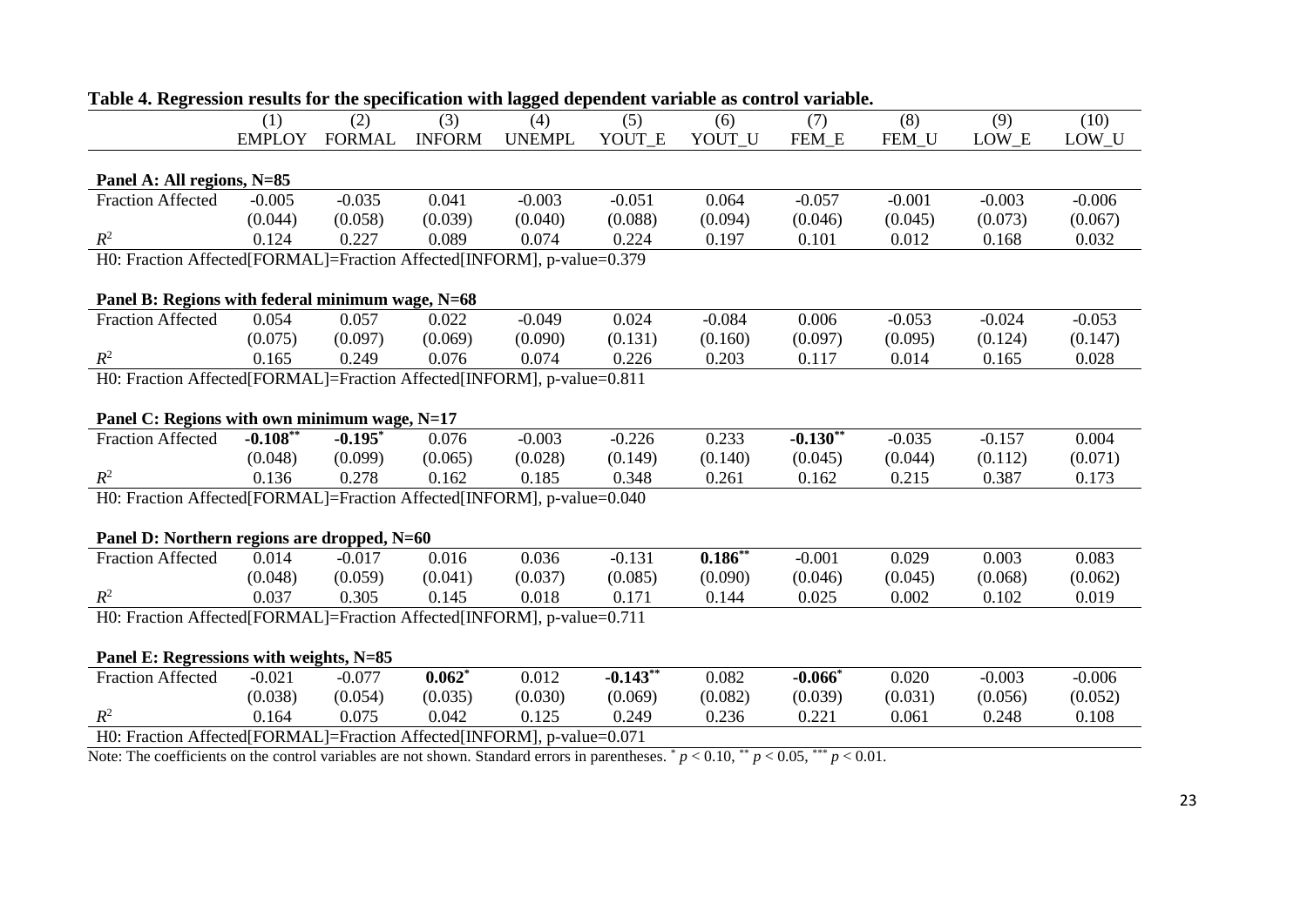|                                                                          | (1)           | (2)           | (3)           | (4)           | (5)        | ession results for the specification with hagged dependent variable as control<br>(6) | (7)                    | (8)      | (9)      | (10)     |
|--------------------------------------------------------------------------|---------------|---------------|---------------|---------------|------------|---------------------------------------------------------------------------------------|------------------------|----------|----------|----------|
|                                                                          | <b>EMPLOY</b> | <b>FORMAL</b> | <b>INFORM</b> | <b>UNEMPL</b> | YOUT E     | YOUT U                                                                                | FEM E                  | FEM U    | LOW E    | LOW_U    |
|                                                                          |               |               |               |               |            |                                                                                       |                        |          |          |          |
| Panel A: All regions, N=85                                               |               |               |               |               |            |                                                                                       |                        |          |          |          |
| <b>Fraction Affected</b>                                                 | $-0.005$      | $-0.035$      | 0.041         | $-0.003$      | $-0.051$   | 0.064                                                                                 | $-0.057$               | $-0.001$ | $-0.003$ | $-0.006$ |
|                                                                          | (0.044)       | (0.058)       | (0.039)       | (0.040)       | (0.088)    | (0.094)                                                                               | (0.046)                | (0.045)  | (0.073)  | (0.067)  |
| $R^2$                                                                    | 0.124         | 0.227         | 0.089         | 0.074         | 0.224      | 0.197                                                                                 | 0.101                  | 0.012    | 0.168    | 0.032    |
| H0: Fraction Affected[FORMAL]=Fraction Affected[INFORM], p-value=0.379   |               |               |               |               |            |                                                                                       |                        |          |          |          |
|                                                                          |               |               |               |               |            |                                                                                       |                        |          |          |          |
| Panel B: Regions with federal minimum wage, N=68                         |               |               |               |               |            |                                                                                       |                        |          |          |          |
| <b>Fraction Affected</b>                                                 | 0.054         | 0.057         | 0.022         | $-0.049$      | 0.024      | $-0.084$                                                                              | 0.006                  | $-0.053$ | $-0.024$ | $-0.053$ |
|                                                                          | (0.075)       | (0.097)       | (0.069)       | (0.090)       | (0.131)    | (0.160)                                                                               | (0.097)                | (0.095)  | (0.124)  | (0.147)  |
| $R^2$                                                                    | 0.165         | 0.249         | 0.076         | 0.074         | 0.226      | 0.203                                                                                 | 0.117                  | 0.014    | 0.165    | 0.028    |
| H0: Fraction Affected[FORMAL]=Fraction Affected[INFORM], p-value=0.811   |               |               |               |               |            |                                                                                       |                        |          |          |          |
|                                                                          |               |               |               |               |            |                                                                                       |                        |          |          |          |
| Panel C: Regions with own minimum wage, N=17                             |               |               |               |               |            |                                                                                       |                        |          |          |          |
| <b>Fraction Affected</b>                                                 | $-0.108**$    | $-0.195$ *    | 0.076         | $-0.003$      | $-0.226$   | 0.233                                                                                 | $-0.130$ <sup>**</sup> | $-0.035$ | $-0.157$ | 0.004    |
|                                                                          | (0.048)       | (0.099)       | (0.065)       | (0.028)       | (0.149)    | (0.140)                                                                               | (0.045)                | (0.044)  | (0.112)  | (0.071)  |
| $R^2$                                                                    | 0.136         | 0.278         | 0.162         | 0.185         | 0.348      | 0.261                                                                                 | 0.162                  | 0.215    | 0.387    | 0.173    |
| H0: Fraction Affected[FORMAL]=Fraction Affected[INFORM], p-value=0.040   |               |               |               |               |            |                                                                                       |                        |          |          |          |
|                                                                          |               |               |               |               |            |                                                                                       |                        |          |          |          |
| Panel D: Northern regions are dropped, N=60                              |               |               |               |               |            |                                                                                       |                        |          |          |          |
| <b>Fraction Affected</b>                                                 | 0.014         | $-0.017$      | 0.016         | 0.036         | $-0.131$   | $0.186**$                                                                             | $-0.001$               | 0.029    | 0.003    | 0.083    |
|                                                                          | (0.048)       | (0.059)       | (0.041)       | (0.037)       | (0.085)    | (0.090)                                                                               | (0.046)                | (0.045)  | (0.068)  | (0.062)  |
| $R^2$                                                                    | 0.037         | 0.305         | 0.145         | 0.018         | 0.171      | 0.144                                                                                 | 0.025                  | 0.002    | 0.102    | 0.019    |
| H0: Fraction Affected [FORMAL]=Fraction Affected [INFORM], p-value=0.711 |               |               |               |               |            |                                                                                       |                        |          |          |          |
|                                                                          |               |               |               |               |            |                                                                                       |                        |          |          |          |
| Panel E: Regressions with weights, N=85                                  |               |               |               |               |            |                                                                                       |                        |          |          |          |
|                                                                          |               |               | $0.062*$      | 0.012         | $-0.143**$ | 0.082                                                                                 | $-0.066*$              | 0.020    | $-0.003$ | $-0.006$ |
| <b>Fraction Affected</b>                                                 | $-0.021$      | $-0.077$      |               |               |            |                                                                                       |                        |          |          |          |
|                                                                          | (0.038)       | (0.054)       | (0.035)       | (0.030)       | (0.069)    | (0.082)                                                                               | (0.039)                | (0.031)  | (0.056)  | (0.052)  |
| $R^2$                                                                    | 0.164         | 0.075         | 0.042         | 0.125         | 0.249      | 0.236                                                                                 | 0.221                  | 0.061    | 0.248    | 0.108    |

### **Table 4. Regression results for the specification with lagged dependent variable as control variable.**

Note: The coefficients on the control variables are not shown. Standard errors in parentheses.  $p < 0.10$ ,  $\binom{p}{r} < 0.05$ ,  $\binom{p}{r} < 0.01$ .